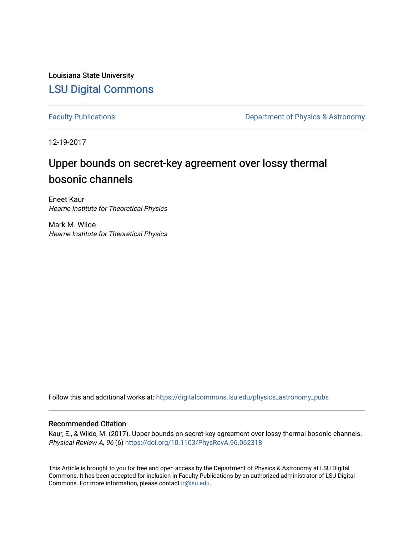Louisiana State University [LSU Digital Commons](https://digitalcommons.lsu.edu/)

[Faculty Publications](https://digitalcommons.lsu.edu/physics_astronomy_pubs) **Exercise 2 and Table 2 and Table 2 and Table 2 and Table 2 and Table 2 and Table 2 and Table 2 and Table 2 and Table 2 and Table 2 and Table 2 and Table 2 and Table 2 and Table 2 and Table 2 and Table** 

12-19-2017

## Upper bounds on secret-key agreement over lossy thermal bosonic channels

Eneet Kaur Hearne Institute for Theoretical Physics

Mark M. Wilde Hearne Institute for Theoretical Physics

Follow this and additional works at: [https://digitalcommons.lsu.edu/physics\\_astronomy\\_pubs](https://digitalcommons.lsu.edu/physics_astronomy_pubs?utm_source=digitalcommons.lsu.edu%2Fphysics_astronomy_pubs%2F5649&utm_medium=PDF&utm_campaign=PDFCoverPages) 

### Recommended Citation

Kaur, E., & Wilde, M. (2017). Upper bounds on secret-key agreement over lossy thermal bosonic channels. Physical Review A, 96 (6)<https://doi.org/10.1103/PhysRevA.96.062318>

This Article is brought to you for free and open access by the Department of Physics & Astronomy at LSU Digital Commons. It has been accepted for inclusion in Faculty Publications by an authorized administrator of LSU Digital Commons. For more information, please contact [ir@lsu.edu](mailto:ir@lsu.edu).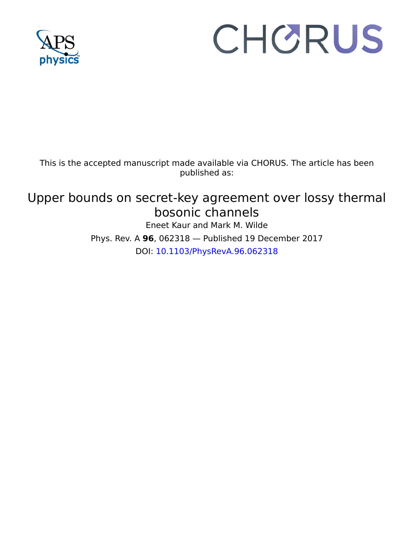

# CHORUS

This is the accepted manuscript made available via CHORUS. The article has been published as:

## Upper bounds on secret-key agreement over lossy thermal bosonic channels

Eneet Kaur and Mark M. Wilde Phys. Rev. A **96**, 062318 — Published 19 December 2017 DOI: [10.1103/PhysRevA.96.062318](http://dx.doi.org/10.1103/PhysRevA.96.062318)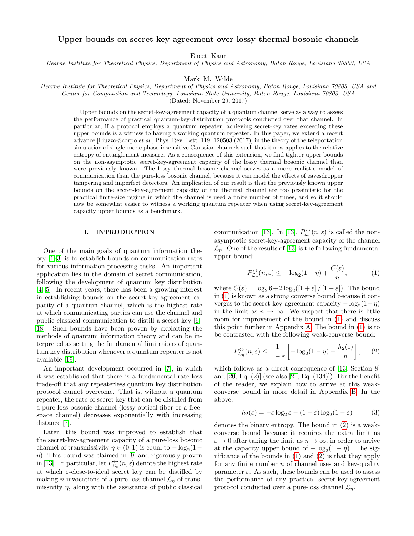#### Upper bounds on secret key agreement over lossy thermal bosonic channels

Eneet Kaur

Hearne Institute for Theoretical Physics, Department of Physics and Astronomy, Baton Rouge, Louisiana 70803, USA

Mark M. Wilde

Hearne Institute for Theoretical Physics, Department of Physics and Astronomy, Baton Rouge, Louisiana 70803, USA and Center for Computation and Technology, Louisiana State University, Baton Rouge, Louisiana 70803, USA

(Dated: November 29, 2017)

Upper bounds on the secret-key-agreement capacity of a quantum channel serve as a way to assess the performance of practical quantum-key-distribution protocols conducted over that channel. In particular, if a protocol employs a quantum repeater, achieving secret-key rates exceeding these upper bounds is a witness to having a working quantum repeater. In this paper, we extend a recent advance [Liuzzo-Scorpo et al., Phys. Rev. Lett. 119, 120503 (2017)] in the theory of the teleportation simulation of single-mode phase-insensitive Gaussian channels such that it now applies to the relative entropy of entanglement measure. As a consequence of this extension, we find tighter upper bounds on the non-asymptotic secret-key-agreement capacity of the lossy thermal bosonic channel than were previously known. The lossy thermal bosonic channel serves as a more realistic model of communication than the pure-loss bosonic channel, because it can model the effects of eavesdropper tampering and imperfect detectors. An implication of our result is that the previously known upper bounds on the secret-key-agreement capacity of the thermal channel are too pessimistic for the practical finite-size regime in which the channel is used a finite number of times, and so it should now be somewhat easier to witness a working quantum repeater when using secret-key-agreement capacity upper bounds as a benchmark.

#### I. INTRODUCTION

One of the main goals of quantum information theory [\[1](#page-14-0)[–3\]](#page-14-1) is to establish bounds on communication rates for various information-processing tasks. An important application lies in the domain of secret communication, following the development of quantum key distribution [\[4,](#page-14-2) [5\]](#page-14-3). In recent years, there has been a growing interest in establishing bounds on the secret-key-agreement capacity of a quantum channel, which is the highest rate at which communicating parties can use the channel and public classical communication to distill a secret key [\[6–](#page-14-4) [18\]](#page-15-0). Such bounds have been proven by exploiting the methods of quantum information theory and can be interpreted as setting the fundamental limitations of quantum key distribution whenever a quantum repeater is not available [\[19\]](#page-15-1).

An important development occurred in [\[7\]](#page-14-5), in which it was established that there is a fundamental rate-loss trade-off that any repeaterless quantum key distribution protocol cannot overcome. That is, without a quantum repeater, the rate of secret key that can be distilled from a pure-loss bosonic channel (lossy optical fiber or a freespace channel) decreases exponentially with increasing distance [\[7\]](#page-14-5).

Later, this bound was improved to establish that the secret-key-agreement capacity of a pure-loss bosonic channel of transmissivity  $\eta \in (0, 1)$  is equal to  $-\log_2(1 \eta$ ). This bound was claimed in [\[9\]](#page-15-2) and rigorously proven in [\[13\]](#page-15-3). In particular, let  $P_{\mathcal{L}_{\eta}}^{\leftrightarrow}(n,\varepsilon)$  denote the highest rate at which  $\varepsilon$ -close-to-ideal secret key can be distilled by making *n* invocations of a pure-loss channel  $\mathcal{L}_\eta$  of transmissivity  $\eta$ , along with the assistance of public classical

communication [\[13\]](#page-15-3). In [13],  $P_{\mathcal{L}_{\eta}}^{\leftrightarrow}(n,\varepsilon)$  is called the nonasymptotic secret-key-agreement capacity of the channel  $\mathcal{L}_{\eta}$ . One of the results of [\[13\]](#page-15-3) is the following fundamental upper bound:

<span id="page-2-0"></span>
$$
P_{\mathcal{L}_{\eta}}^{\leftrightarrow}(n,\varepsilon) \le -\log_2(1-\eta) + \frac{C(\varepsilon)}{n},\tag{1}
$$

where  $C(\varepsilon) = \log_2 6 + 2 \log_2 ([1 + \varepsilon] / [1 - \varepsilon])$ . The bound in [\(1\)](#page-2-0) is known as a strong converse bound because it converges to the secret-key-agreement capacity  $-\log_2(1-\eta)$ in the limit as  $n \to \infty$ . We suspect that there is little room for improvement of the bound in [\(1\)](#page-2-0) and discuss this point further in Appendix [A.](#page-9-0) The bound in [\(1\)](#page-2-0) is to be contrasted with the following weak-converse bound:

<span id="page-2-1"></span>
$$
P_{\mathcal{L}_{\eta}}^{\leftrightarrow}(n,\varepsilon) \le \frac{1}{1-\varepsilon} \left[ -\log_2(1-\eta) + \frac{h_2(\varepsilon)}{n} \right],\qquad(2)
$$

which follows as a direct consequence of [\[13,](#page-15-3) Section 8] and [\[20,](#page-15-4) Eq. (2)] (see also [\[21,](#page-15-5) Eq. (134)]). For the benefit of the reader, we explain how to arrive at this weakconverse bound in more detail in Appendix [B.](#page-12-0) In the above,

$$
h_2(\varepsilon) = -\varepsilon \log_2 \varepsilon - (1 - \varepsilon) \log_2 (1 - \varepsilon)
$$
 (3)

denotes the binary entropy. The bound in [\(2\)](#page-2-1) is a weakconverse bound because it requires the extra limit as  $\varepsilon \to 0$  after taking the limit as  $n \to \infty$ , in order to arrive at the capacity upper bound of  $-\log_2(1-\eta)$ . The significance of the bounds in [\(1\)](#page-2-0) and [\(2\)](#page-2-1) is that they apply for any finite number  $n$  of channel uses and key-quality parameter  $\varepsilon$ . As such, these bounds can be used to assess the performance of any practical secret-key-agreement protocol conducted over a pure-loss channel  $\mathcal{L}_\eta$ .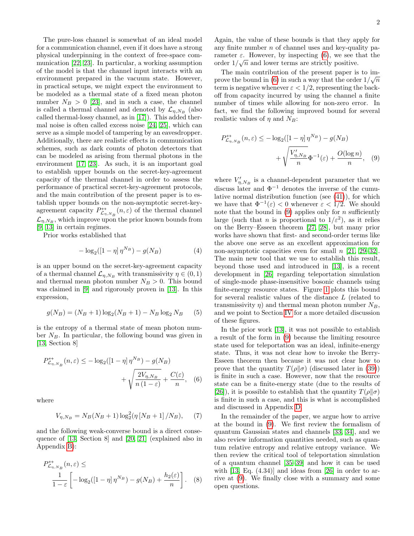The pure-loss channel is somewhat of an ideal model for a communication channel, even if it does have a strong physical underpinning in the context of free-space communication [\[22,](#page-15-6) [23\]](#page-15-7). In particular, a working assumption of the model is that the channel input interacts with an environment prepared in the vacuum state. However, in practical setups, we might expect the environment to be modeled as a thermal state of a fixed mean photon number  $N_B > 0$  [\[23\]](#page-15-7), and in such a case, the channel is called a thermal channel and denoted by  $\mathcal{L}_{\eta,N_B}$  (also called thermal-lossy channel, as in [\[17\]](#page-15-8)). This added thermal noise is often called excess noise [\[24,](#page-15-9) [25\]](#page-15-10), which can serve as a simple model of tampering by an eavesdropper. Additionally, there are realistic effects in communication schemes, such as dark counts of photon detectors that can be modeled as arising from thermal photons in the environment [\[17,](#page-15-8) [23\]](#page-15-7). As such, it is an important goal to establish upper bounds on the secret-key-agreement capacity of the thermal channel in order to assess the performance of practical secret-key-agreement protocols, and the main contribution of the present paper is to establish upper bounds on the non-asymptotic secret-keyagreement capacity  $P^{\leftrightarrow}_{\mathcal{L}_{\eta,N_B}}(n,\varepsilon)$  of the thermal channel  $\mathcal{L}_{\eta,N_B}$ , which improve upon the prior known bounds from [\[9,](#page-15-2) [13\]](#page-15-3) in certain regimes.

Prior works established that

<span id="page-3-3"></span>
$$
-\log_2([1-\eta] \,\eta^{N_B}) - g(N_B) \tag{4}
$$

is an upper bound on the secret-key-agreement capacity of a thermal channel  $\mathcal{L}_{\eta,N_B}$  with transmissivity  $\eta \in (0,1)$ and thermal mean photon number  $N_B > 0$ . This bound was claimed in [\[9\]](#page-15-2) and rigorously proven in [\[13\]](#page-15-3). In this expression,

$$
g(N_B) = (N_B + 1)\log_2(N_B + 1) - N_B \log_2 N_B \qquad (5)
$$

is the entropy of a thermal state of mean photon number  $N_B$ . In particular, the following bound was given in [\[13,](#page-15-3) Section 8]

$$
P_{\mathcal{L}_{\eta,N_B}}^{\leftrightarrow}(n,\varepsilon) \le -\log_2([1-\eta]\,\eta^{N_B}) - g(N_B) + \sqrt{\frac{2V_{\eta,N_B}}{n\,(1-\varepsilon)}} + \frac{C(\varepsilon)}{n},\tag{6}
$$

where

$$
V_{\eta, N_B} = N_B(N_B + 1) \log_2^2(\eta \left[ N_B + 1 \right] / N_B), \quad (7)
$$

and the following weak-converse bound is a direct consequence of [\[13,](#page-15-3) Section 8] and [\[20,](#page-15-4) [21\]](#page-15-5) (explained also in Appendix [B\)](#page-12-0):

$$
P_{\mathcal{L}_{\eta,N_B}}^{\leftrightarrow}(n,\varepsilon) \le
$$
  

$$
\frac{1}{1-\varepsilon} \left[ -\log_2([1-\eta]\,\eta^{N_B}) - g(N_B) + \frac{h_2(\varepsilon)}{n} \right].
$$
 (8)

Again, the value of these bounds is that they apply for any finite number  $n$  of channel uses and key-quality parameter  $\varepsilon$ . However, by inspecting [\(6\)](#page-3-0), we see that the order  $1/\sqrt{n}$  and lower terms are strictly positive.

The main contribution of the present paper is to im-prove the bound in [\(6\)](#page-3-0) in such a way that the order  $1/\sqrt{n}$ term is negative whenever  $\varepsilon < 1/2$ , representing the backoff from capacity incurred by using the channel a finite number of times while allowing for non-zero error. In fact, we find the following improved bound for several realistic values of  $\eta$  and  $N_B$ :

<span id="page-3-1"></span>
$$
P_{\mathcal{L}_{\eta,N_B}}^{\leftrightarrow}(n,\varepsilon) \le -\log_2([1-\eta]\,\eta^{N_B}) - g(N_B) + \sqrt{\frac{V'_{\eta,N_B}}{n}}\Phi^{-1}(\varepsilon) + \frac{O(\log n)}{n},\tag{9}
$$

where  $V'_{\eta, N_B}$  is a channel-dependent parameter that we discuss later and  $\Phi^{-1}$  denotes the inverse of the cumulative normal distribution function (see [\(41\)](#page-6-0)), for which we have that  $\Phi^{-1}(\varepsilon) < 0$  whenever  $\varepsilon < 1/2$ . We should note that the bound in  $(9)$  applies only for n sufficiently large (such that *n* is proportional to  $1/\varepsilon^2$ ), as it relies on the Berry–Esseen theorem [\[27,](#page-15-11) [28\]](#page-15-12), but many prior works have shown that first- and second-order terms like the above one serve as an excellent approximation for non-asymptotic capacities even for small n [\[21,](#page-15-5) [29–](#page-15-13)[32\]](#page-15-14). The main new tool that we use to establish this result, beyond those used and introduced in [\[13\]](#page-15-3), is a recent development in [\[26\]](#page-15-15) regarding teleportation simulation of single-mode phase-insensitive bosonic channels using finite-energy resource states. Figure [1](#page-8-0) plots this bound for several realistic values of the distance L (related to transmissivity  $\eta$ ) and thermal mean photon number  $N_B$ , and we point to Section [IV](#page-7-0) for a more detailed discussion of these figures.

In the prior work [\[13\]](#page-15-3), it was not possible to establish a result of the form in [\(9\)](#page-3-1) because the limiting resource state used for teleportation was an ideal, infinite-energy state. Thus, it was not clear how to invoke the Berry-Esseen theorem then because it was not clear how to prove that the quantity  $T(\rho||\sigma)$  (discussed later in [\(39\)](#page-6-1)) is finite in such a case. However, now that the resource state can be a finite-energy state (due to the results of [\[26\]](#page-15-15)), it is possible to establish that the quantity  $T(\rho||\sigma)$ is finite in such a case, and this is what is accomplished and discussed in Appendix [D.](#page-13-0)

<span id="page-3-2"></span><span id="page-3-0"></span>In the remainder of the paper, we argue how to arrive at the bound in [\(9\)](#page-3-1). We first review the formalism of quantum Gaussian states and channels [\[33,](#page-15-16) [34\]](#page-15-17), and we also review information quantities needed, such as quantum relative entropy and relative entropy variance. We then review the critical tool of teleportation simulation of a quantum channel [\[35–](#page-15-18)[39\]](#page-15-19) and how it can be used with  $[13, Eq. (4.34)]$  $[13, Eq. (4.34)]$  and ideas from  $[26]$  in order to arrive at [\(9\)](#page-3-1). We finally close with a summary and some open questions.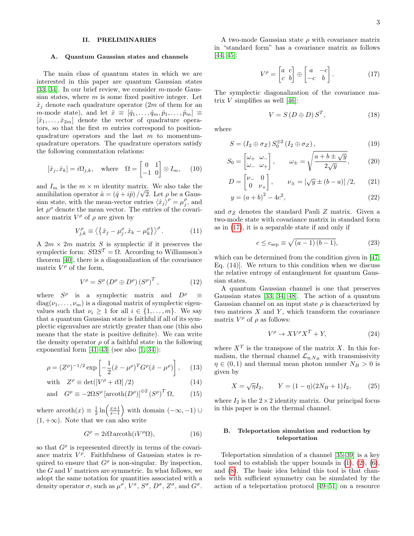#### II. PRELIMINARIES

#### A. Quantum Gaussian states and channels

The main class of quantum states in which we are interested in this paper are quantum Gaussian states [\[33,](#page-15-16) [34\]](#page-15-17). In our brief review, we consider  $m$ -mode Gaussian states, where  $m$  is some fixed positive integer. Let  $\hat{x}_j$  denote each quadrature operator (2m of them for an m-mode state), and let  $\hat{x} \equiv [\hat{q}_1, \ldots, \hat{q}_m, \hat{p}_1, \ldots, \hat{p}_m] \equiv$  $[\hat{x}_1, \ldots, \hat{x}_{2m}]$  denote the vector of quadrature operators, so that the first m entries correspond to positionquadrature operators and the last  $m$  to momentumquadrature operators. The quadrature operators satisfy the following commutation relations:

$$
[\hat{x}_j, \hat{x}_k] = i\Omega_{j,k}, \quad \text{where} \quad \Omega = \begin{bmatrix} 0 & 1 \\ -1 & 0 \end{bmatrix} \otimes I_m, \quad (10)
$$

and  $I_m$  is the  $m \times m$  identity matrix. We also take the annihilation operator  $\hat{a} = (\hat{q} + i\hat{p})/\sqrt{2}$ . Let  $\rho$  be a Gaussian state, with the mean-vector entries  $\langle \hat{x}_j \rangle^{\rho} = \mu_j^{\rho}$ , and let  $\mu^{\rho}$  denote the mean vector. The entries of the covariance matrix  $V^{\rho}$  of  $\rho$  are given by

$$
V_{j,k}^{\rho} \equiv \left\langle \left\{\hat{x}_j - \mu_j^{\rho}, \hat{x}_k - \mu_k^{\rho}\right\} \right\rangle^{\rho}.
$$
 (11)

A  $2m \times 2m$  matrix S is symplectic if it preserves the symplectic form:  $S\Omega S^{T} = \Omega$ . According to Williamson's theorem [\[40\]](#page-16-0), there is a diagonalization of the covariance matrix  $V^{\rho}$  of the form,

$$
V^{\rho} = S^{\rho} \left( D^{\rho} \oplus D^{\rho} \right) \left( S^{\rho} \right)^{T}, \tag{12}
$$

where  $S^{\rho}$  is a symplectic matrix and  $D^{\rho} \equiv$  $diag(\nu_1, \ldots, \nu_m)$  is a diagonal matrix of symplectic eigenvalues such that  $\nu_i \geq 1$  for all  $i \in \{1, \ldots, m\}$ . We say that a quantum Gaussian state is faithful if all of its symplectic eigenvalues are strictly greater than one (this also means that the state is positive definite). We can write the density operator  $\rho$  of a faithful state in the following exponential form  $[41-43]$  $[41-43]$  (see also  $[1, 34]$  $[1, 34]$ ):

$$
\rho = (Z^{\rho})^{-1/2} \exp \left[ -\frac{1}{2} (\hat{x} - \mu^{\rho})^T G^{\rho} (\hat{x} - \mu^{\rho}) \right], \quad (13)
$$

with 
$$
Z^{\rho} \equiv \det([V^{\rho} + i\Omega]/2)
$$
 (14)

and 
$$
G^{\rho} \equiv -2\Omega S^{\rho} \left[ \operatorname{arcoth}(D^{\rho}) \right]^{\oplus 2} \left( S^{\rho} \right)^{T} \Omega,
$$
 (15)

where  $\operatorname{arcoth}(x) \equiv \frac{1}{2} \ln \left( \frac{x+1}{x-1} \right)$  with domain  $(-\infty, -1) \cup$  $(1, +\infty)$ . Note that we can also write

$$
G^{\rho} = 2i\Omega \operatorname{arcoth}(iV^{\rho}\Omega), \qquad (16)
$$

so that  $G^{\rho}$  is represented directly in terms of the covariance matrix  $V^{\rho}$ . Faithfulness of Gaussian states is required to ensure that  $G^{\rho}$  is non-singular. By inspection, the G and V matrices are symmetric. In what follows, we adopt the same notation for quantities associated with a density operator  $\sigma$ , such as  $\mu^{\sigma}$ ,  $V^{\sigma}$ ,  $S^{\sigma}$ ,  $D^{\sigma}$ ,  $Z^{\sigma}$ , and  $G^{\sigma}$ .

A two-mode Gaussian state  $\rho$  with covariance matrix in "standard form" has a covariance matrix as follows [\[44,](#page-16-3) [45\]](#page-16-4):

<span id="page-4-0"></span>
$$
V^{\rho} = \begin{bmatrix} a & c \\ c & b \end{bmatrix} \oplus \begin{bmatrix} a & -c \\ -c & b \end{bmatrix}.
$$
 (17)

The symplectic diagonalization of the covariance matrix  $V$  simplifies as well [\[46\]](#page-16-5):

$$
V = S(D \oplus D)S^{T}, \qquad (18)
$$

where

$$
S = (I_2 \oplus \sigma_Z) S_0^{\oplus 2} (I_2 \oplus \sigma_Z), \qquad (19)
$$

$$
S_0 = \begin{bmatrix} \omega_+ & \omega_- \\ \omega_- & \omega_+ \end{bmatrix}, \qquad \omega_\pm = \sqrt{\frac{a + b \pm \sqrt{y}}{2\sqrt{y}}}, \tag{20}
$$

$$
D = \begin{bmatrix} \nu_- & 0\\ 0 & \nu_+ \end{bmatrix}, \qquad \nu_{\pm} = \left[ \sqrt{y} \pm (b - a) \right] / 2, \qquad (21)
$$

$$
y = (a+b)^2 - 4c^2,
$$
 (22)

and  $\sigma_Z$  denotes the standard Pauli Z matrix. Given a two-mode state with covariance matrix in standard form as in [\(17\)](#page-4-0), it is a separable state if and only if

<span id="page-4-2"></span>
$$
c \le c_{\text{sep}} \equiv \sqrt{(a-1)(b-1)},\tag{23}
$$

which can be determined from the condition given in [\[47,](#page-16-6) Eq. (14)]. We return to this condition when we discuss the relative entropy of entanglement for quantum Gaussian states.

A quantum Gaussian channel is one that preserves Gaussian states [\[33,](#page-15-16) [34,](#page-15-17) [48\]](#page-16-7). The action of a quantum Gaussian channel on an input state  $\rho$  is characterized by two matrices  $X$  and  $Y$ , which transform the covariance matrix  $V^{\rho}$  of  $\rho$  as follows:

<span id="page-4-1"></span>
$$
V^{\rho} \to X V^{\rho} X^{T} + Y,
$$
\n(24)

where  $X<sup>T</sup>$  is the transpose of the matrix X. In this formalism, the thermal channel  $\mathcal{L}_{\eta,N_B}$  with transmissivity  $\eta \in (0,1)$  and thermal mean photon number  $N_B > 0$  is given by

$$
X = \sqrt{\eta} I_2, \qquad Y = (1 - \eta)(2N_B + 1)I_2, \tag{25}
$$

where  $I_2$  is the  $2 \times 2$  identity matrix. Our principal focus in this paper is on the thermal channel.

#### <span id="page-4-3"></span>B. Teleportation simulation and reduction by teleportation

Teleportation simulation of a channel [\[35](#page-15-18)[–39\]](#page-15-19) is a key tool used to establish the upper bounds in  $(1)$ ,  $(2)$ ,  $(6)$ , and [\(8\)](#page-3-2). The basic idea behind this tool is that channels with sufficient symmetry can be simulated by the action of a teleportation protocol [\[49](#page-16-8)[–51\]](#page-16-9) on a resource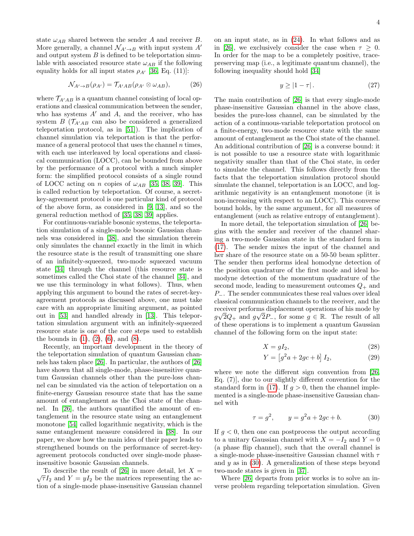state  $\omega_{AB}$  shared between the sender A and receiver B. More generally, a channel  $\mathcal{N}_{A'\to B}$  with input system  $A'$ and output system  $B$  is defined to be teleportation simulable with associated resource state  $\omega_{AB}$  if the following equality holds for all input states  $\rho_{A'}$  [\[36,](#page-15-20) Eq. (11)]:

$$
\mathcal{N}_{A' \to B}(\rho_{A'}) = \mathcal{T}_{A'AB}(\rho_{A'} \otimes \omega_{AB}), \tag{26}
$$

where  $\mathcal{T}_{A'AB}$  is a quantum channel consisting of local operations and classical communication between the sender, who has systems  $A'$  and  $A$ , and the receiver, who has system  $B(\mathcal{T}_{A'AB}$  can also be considered a generalized teleportation protocol, as in [\[51\]](#page-16-9)). The implication of channel simulation via teleportation is that the performance of a general protocol that uses the channel  $n$  times, with each use interleaved by local operations and classical communication (LOCC), can be bounded from above by the performance of a protocol with a much simpler form: the simplified protocol consists of a single round of LOCC acting on n copies of  $\omega_{AB}$  [\[35,](#page-15-18) [38,](#page-15-21) [39\]](#page-15-19). This is called reduction by teleportation. Of course, a secretkey-agreement protocol is one particular kind of protocol of the above form, as considered in [\[9,](#page-15-2) [13\]](#page-15-3), and so the general reduction method of [\[35,](#page-15-18) [38,](#page-15-21) [39\]](#page-15-19) applies.

For continuous-variable bosonic systems, the teleportation simulation of a single-mode bosonic Gaussian channels was considered in [\[38\]](#page-15-21), and the simulation therein only simulates the channel exactly in the limit in which the resource state is the result of transmitting one share of an infinitely-squeezed, two-mode squeezed vacuum state [\[34\]](#page-15-17) through the channel (this resource state is sometimes called the Choi state of the channel [\[34\]](#page-15-17), and we use this terminology in what follows). Thus, when applying this argument to bound the rates of secret-keyagreement protocols as discussed above, one must take care with an appropriate limiting argument, as pointed out in [\[53\]](#page-16-10) and handled already in [\[13\]](#page-15-3). This teleportation simulation argument with an infinitely-squeezed resource state is one of the core steps used to establish the bounds in  $(1)$ ,  $(2)$ ,  $(6)$ , and  $(8)$ .

Recently, an important development in the theory of the teleportation simulation of quantum Gaussian channels has taken place [\[26\]](#page-15-15). In particular, the authors of [\[26\]](#page-15-15) have shown that all single-mode, phase-insensitive quantum Gaussian channels other than the pure-loss channel can be simulated via the action of teleportation on a finite-energy Gaussian resource state that has the same amount of entanglement as the Choi state of the channel. In [\[26\]](#page-15-15), the authors quantified the amount of entanglement in the resource state using an entanglement monotone [\[54\]](#page-16-11) called logarithmic negativity, which is the same entanglement measure considered in [\[38\]](#page-15-21). In our paper, we show how the main idea of their paper leads to strengthened bounds on the performance of secret-keyagreement protocols conducted over single-mode phaseinsensitive bosonic Gaussian channels.

To describe the result of [\[26\]](#page-15-15) in more detail, let  $X =$  $\sqrt{\tau}I_2$  and  $Y = yI_2$  be the matrices representing the action of a single-mode phase-insensitive Gaussian channel on an input state, as in [\(24\)](#page-4-1). In what follows and as in [\[26\]](#page-15-15), we exclusively consider the case when  $\tau \geq 0$ . In order for the map to be a completely positive, tracepreserving map (i.e., a legitimate quantum channel), the following inequality should hold [\[34\]](#page-15-17)

$$
y \ge |1 - \tau| \,. \tag{27}
$$

The main contribution of [\[26\]](#page-15-15) is that every single-mode phase-insensitive Gaussian channel in the above class, besides the pure-loss channel, can be simulated by the action of a continuous-variable teleportation protocol on a finite-energy, two-mode resource state with the same amount of entanglement as the Choi state of the channel. An additional contribution of [\[26\]](#page-15-15) is a converse bound: it is not possible to use a resource state with logarithmic negativity smaller than that of the Choi state, in order to simulate the channel. This follows directly from the facts that the teleportation simulation protocol should simulate the channel, teleportation is an LOCC, and logarithmic negativity is an entanglement monotone (it is non-increasing with respect to an LOCC). This converse bound holds, by the same argument, for all measures of entanglement (such as relative entropy of entanglement).

In more detail, the teleportation simulation of [\[26\]](#page-15-15) begins with the sender and receiver of the channel sharing a two-mode Gaussian state in the standard form in [\(17\)](#page-4-0). The sender mixes the input of the channel and her share of the resource state on a 50-50 beam splitter. The sender then performs ideal homodyne detection of the position quadrature of the first mode and ideal homodyne detection of the momentum quadrature of the second mode, leading to measurement outcomes  $Q_+$  and P<sub>−</sub>. The sender communicates these real values over ideal classical communication channels to the receiver, and the receiver performs displacement operations of his mode by  $g\sqrt{2}Q_{+}$  and  $g\sqrt{2}P_{-}$ , for some  $g \in \mathbb{R}$ . The result of all of these operations is to implement a quantum Gaussian channel of the following form on the input state:

$$
X = gI_2,\t\t(28)
$$

$$
Y = \left[g^2 a + 2gc + b\right] I_2,\tag{29}
$$

where we note the different sign convention from [\[26,](#page-15-15) Eq. (7)], due to our slightly different convention for the standard form in [\(17\)](#page-4-0). If  $q > 0$ , then the channel implemented is a single-mode phase-insensitive Gaussian channel with

<span id="page-5-0"></span>
$$
\tau = g^2, \qquad y = g^2 a + 2gc + b. \tag{30}
$$

If  $g < 0$ , then one can postprocess the output according to a unitary Gaussian channel with  $X = -I_2$  and  $Y = 0$ (a phase flip channel), such that the overall channel is a single-mode phase-insensitive Gaussian channel with  $\tau$ and  $y$  as in [\(30\)](#page-5-0). A generalization of these steps beyond two-mode states is given in [\[37\]](#page-15-22).

Where [\[26\]](#page-15-15) departs from prior works is to solve an inverse problem regarding teleportation simulation. Given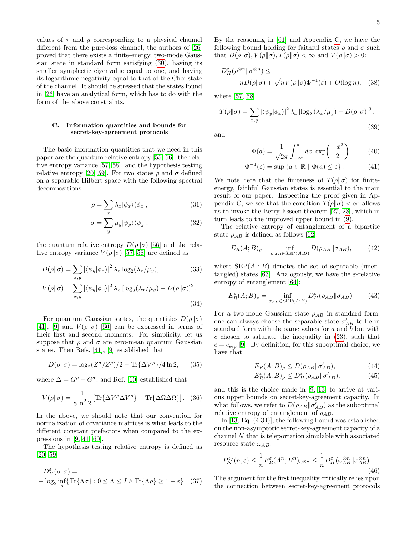values of  $\tau$  and y corresponding to a physical channel different from the pure-loss channel, the authors of [\[26\]](#page-15-15) proved that there exists a finite-energy, two-mode Gaussian state in standard form satisfying [\(30\)](#page-5-0), having its smaller symplectic eigenvalue equal to one, and having its logarithmic negativity equal to that of the Choi state of the channel. It should be stressed that the states found in [\[26\]](#page-15-15) have an analytical form, which has to do with the form of the above constraints.

#### C. Information quantities and bounds for secret-key-agreement protocols

The basic information quantities that we need in this paper are the quantum relative entropy [\[55,](#page-16-12) [56\]](#page-16-13), the relative entropy variance [\[57,](#page-16-14) [58\]](#page-16-15), and the hypothesis testing relative entropy [\[20,](#page-15-4) [59\]](#page-16-16). For two states  $\rho$  and  $\sigma$  defined on a separable Hilbert space with the following spectral decompositions:

$$
\rho = \sum_{x} \lambda_x |\phi_x\rangle\langle\phi_x|,\tag{31}
$$

$$
\sigma = \sum_{y} \mu_{y} |\psi_{y}\rangle\langle\psi_{y}|, \qquad (32)
$$

the quantum relative entropy  $D(\rho||\sigma)$  [\[56\]](#page-16-13) and the relative entropy variance  $V(\rho||\sigma)$  [\[57,](#page-16-14) [58\]](#page-16-15) are defined as

$$
D(\rho||\sigma) = \sum_{x,y} |\langle \psi_y | \phi_x \rangle|^2 \lambda_x \log_2(\lambda_x/\mu_y),
$$
(33)  

$$
V(\rho||\sigma) = \sum |\langle \psi_x | \phi_x \rangle|^2 \lambda_x [\log_2(\lambda_x/\mu_x) - D(\rho||\sigma)]^2.
$$

$$
V(\rho||\sigma) = \sum_{x,y} |\langle \psi_y | \phi_x \rangle|^2 \lambda_x \left[ \log_2(\lambda_x/\mu_y) - D(\rho||\sigma) \right]^2.
$$
\n(34)

For quantum Gaussian states, the quantities  $D(\rho||\sigma)$ [\[41\]](#page-16-1), [\[9\]](#page-15-2) and  $V(\rho||\sigma)$  [\[60\]](#page-16-17) can be expressed in terms of their first and second moments. For simplicity, let us suppose that  $\rho$  and  $\sigma$  are zero-mean quantum Gaussian states. Then Refs. [\[41\]](#page-16-1), [\[9\]](#page-15-2) established that

<span id="page-6-4"></span>
$$
D(\rho||\sigma) = \log_2(Z^{\sigma}/Z^{\rho})/2 - \text{Tr}\{\Delta V^{\rho}\}/4\ln 2,\qquad(35)
$$

where  $\Delta = G^{\rho} - G^{\sigma}$ , and Ref. [\[60\]](#page-16-17) established that

<span id="page-6-5"></span>
$$
V(\rho \| \sigma) = \frac{1}{8 \ln^2 2} \left[ \text{Tr} \{ \Delta V^\rho \Delta V^\rho \} + \text{Tr} \{ \Delta \Omega \Delta \Omega \} \right]. \tag{36}
$$

In the above, we should note that our convention for normalization of covariance matrices is what leads to the different constant prefactors when compared to the expressions in [\[9,](#page-15-2) [41,](#page-16-1) [60\]](#page-16-17).

The hypothesis testing relative entropy is defined as [\[20,](#page-15-4) [59\]](#page-16-16)

$$
D_H^{\varepsilon}(\rho \| \sigma) =
$$
  
-  $\log_2 \inf_{\Lambda} {\{ \text{Tr} \{ \Lambda \sigma \} : 0 \le \Lambda \le I \wedge \text{Tr} \{ \Lambda \rho \} \ge 1 - \varepsilon \}}$  (37)

By the reasoning in [\[61\]](#page-16-18) and Appendix [C,](#page-12-1) we have the following bound holding for faithful states  $\rho$  and  $\sigma$  such that  $D(\rho||\sigma)$ ,  $V(\rho||\sigma)$ ,  $T(\rho||\sigma) < \infty$  and  $V(\rho||\sigma) > 0$ :

$$
D_H^{\varepsilon}(\rho^{\otimes n} \|\sigma^{\otimes n}) \le nD(\rho \|\sigma) + \sqrt{nV(\rho \|\sigma)}\Phi^{-1}(\varepsilon) + O(\log n), \quad (38)
$$

where [\[57,](#page-16-14) [58\]](#page-16-15)

<span id="page-6-1"></span>
$$
T(\rho||\sigma) = \sum_{x,y} |\langle \psi_y | \phi_x \rangle|^2 \lambda_x |\log_2(\lambda_x/\mu_y) - D(\rho||\sigma)|^3,
$$
\n(39)

and

<span id="page-6-3"></span><span id="page-6-0"></span>
$$
\Phi(a) = \frac{1}{\sqrt{2\pi}} \int_{-\infty}^{a} dx \exp\left(\frac{-x^2}{2}\right) \tag{40}
$$

$$
\Phi^{-1}(\varepsilon) = \sup \{ a \in \mathbb{R} \mid \Phi(a) \le \varepsilon \}. \tag{41}
$$

<span id="page-6-7"></span>We note here that the finiteness of  $T(\rho||\sigma)$  for finiteenergy, faithful Gaussian states is essential to the main result of our paper. Inspecting the proof given in Ap-pendix [C,](#page-12-1) we see that the condition  $T(\rho||\sigma) < \infty$  allows us to invoke the Berry-Esseen theorem [\[27,](#page-15-11) [28\]](#page-15-12), which in turn leads to the improved upper bound in [\(9\)](#page-3-1).

<span id="page-6-8"></span>The relative entropy of entanglement of a bipartite state  $\rho_{AB}$  is defined as follows [\[62\]](#page-16-19):

$$
E_R(A;B)_{\rho} = \inf_{\sigma_{AB} \in \text{SEP}(A:B)} D(\rho_{AB} \|\sigma_{AB}), \tag{42}
$$

where  $\text{SEP}(A:B)$  denotes the set of separable (unen-tangled) states [\[63\]](#page-16-20). Analogously, we have the  $\varepsilon$ -relative entropy of entanglement [\[64\]](#page-16-21):

<span id="page-6-2"></span>
$$
E_R^{\varepsilon}(A;B)_{\rho} = \inf_{\sigma_{AB} \in \text{SEP}(A:B)} D_H^{\varepsilon}(\rho_{AB} || \sigma_{AB}). \tag{43}
$$

For a two-mode Gaussian state  $\rho_{AB}$  in standard form, one can always choose the separable state  $\sigma'_{AB}$  to be in standard form with the same values for  $a$  and  $b$  but with  $c$  chosen to saturate the inequality in  $(23)$ , such that  $c = c_{\rm sep}$  [\[9\]](#page-15-2). By definition, for this suboptimal choice, we have that

$$
E_R(A;B)_{\rho} \le D(\rho_{AB} \|\sigma'_{AB}),\tag{44}
$$

$$
E_R^{\varepsilon}(A;B)_{\rho} \le D_H^{\varepsilon}(\rho_{AB} \|\sigma'_{AB}),\tag{45}
$$

and this is the choice made in [\[9,](#page-15-2) [13\]](#page-15-3) to arrive at various upper bounds on secret-key-agreement capacity. In what follows, we refer to  $D(\rho_{AB} || \sigma'_{AB})$  as the suboptimal relative entropy of entanglement of  $\rho_{AB}$ .

In [\[13,](#page-15-3) Eq. (4.34)], the following bound was established on the non-asymptotic secret-key-agreement capacity of a channel  $N$  that is teleportation simulable with associated resource state  $\omega_{AB}$ :

<span id="page-6-6"></span>
$$
P_N^{\leftrightarrow}(n,\varepsilon) \le \frac{1}{n} E_R^{\varepsilon}(A^n;B^n)_{\omega^{\otimes n}} \le \frac{1}{n} D_H^{\varepsilon}(\omega_{AB}^{\otimes n} || \sigma_{AB}^{\otimes n}).
$$
\n(46)

The argument for the first inequality critically relies upon the connection between secret-key-agreement protocols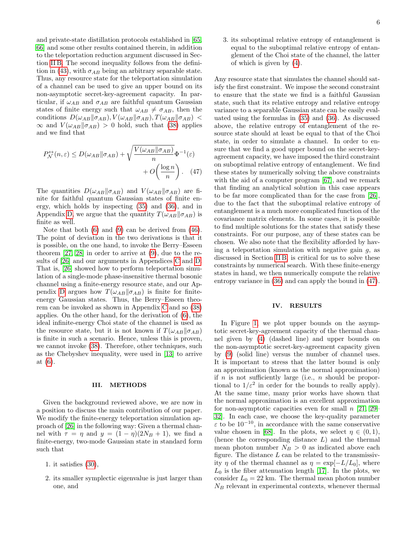and private-state distillation protocols established in [\[65,](#page-16-22) [66\]](#page-16-23) and some other results contained therein, in addition to the teleportation reduction argument discussed in Section [II B.](#page-4-3) The second inequality follows from the defini-tion in [\(43\)](#page-6-2), with  $\sigma_{AB}$  being an arbitrary separable state. Thus, any resource state for the teleportation simulation of a channel can be used to give an upper bound on its non-asymptotic secret-key-agreement capacity. In particular, if  $\omega_{AB}$  and  $\sigma_{AB}$  are faithful quantum Gaussian states of finite energy such that  $\omega_{AB} \neq \sigma_{AB}$ , then the conditions  $D(\omega_{AB}||\sigma_{AB}), V(\omega_{AB}||\sigma_{AB}), T(\omega_{AB}||\sigma_{AB})$  <  $\infty$  and  $V(\omega_{AB}||\sigma_{AB}) > 0$  hold, such that [\(38\)](#page-6-3) applies and we find that

$$
P_N^{\leftrightarrow}(n,\varepsilon) \le D(\omega_{AB} || \sigma_{AB}) + \sqrt{\frac{V(\omega_{AB} || \sigma_{AB})}{n}} \Phi^{-1}(\varepsilon) + O\left(\frac{\log n}{n}\right). \quad (47)
$$

The quantities  $D(\omega_{AB}||\sigma_{AB})$  and  $V(\omega_{AB}||\sigma_{AB})$  are finite for faithful quantum Gaussian states of finite energy, which holds by inspecting [\(35\)](#page-6-4) and [\(36\)](#page-6-5), and in Appendix [D,](#page-13-0) we argue that the quantity  $T(\omega_{AB}||\sigma_{AB})$  is finite as well.

Note that both [\(6\)](#page-3-0) and [\(9\)](#page-3-1) can be derived from [\(46\)](#page-6-6). The point of deviation in the two derivations is that it is possible, on the one hand, to invoke the Berry–Esseen theorem [\[27,](#page-15-11) [28\]](#page-15-12) in order to arrive at [\(9\)](#page-3-1), due to the results of [\[26\]](#page-15-15) and our arguments in Appendices [C](#page-12-1) and [D.](#page-13-0) That is, [\[26\]](#page-15-15) showed how to perform teleportation simulation of a single-mode phase-insensitive thermal bosonic channel using a finite-energy resource state, and our Ap-pendix [D](#page-13-0) argues how  $T(\omega_{AB}||\sigma_{AB})$  is finite for finiteenergy Gaussian states. Thus, the Berry–Esseen theorem can be invoked as shown in Appendix [C](#page-12-1) and so [\(38\)](#page-6-3) applies. On the other hand, for the derivation of [\(6\)](#page-3-0), the ideal infinite-energy Choi state of the channel is used as the resource state, but it is not known if  $T(\omega_{AB}||\sigma_{AB})$ is finite in such a scenario. Hence, unless this is proven, we cannot invoke [\(38\)](#page-6-3). Therefore, other techniques, such as the Chebyshev inequality, were used in [\[13\]](#page-15-3) to arrive at [\(6\)](#page-3-0).

#### III. METHODS

Given the background reviewed above, we are now in a position to discuss the main contribution of our paper. We modify the finite-energy teleportation simulation approach of [\[26\]](#page-15-15) in the following way: Given a thermal channel with  $\tau = \eta$  and  $y = (1 - \eta)(2N_B + 1)$ , we find a finite-energy, two-mode Gaussian state in standard form such that

- 1. it satisfies [\(30\)](#page-5-0),
- 2. its smaller symplectic eigenvalue is just larger than one, and

3. its suboptimal relative entropy of entanglement is equal to the suboptimal relative entropy of entanglement of the Choi state of the channel, the latter of which is given by [\(4\)](#page-3-3).

<span id="page-7-1"></span>Any resource state that simulates the channel should satisfy the first constraint. We impose the second constraint to ensure that the state we find is a faithful Gaussian state, such that its relative entropy and relative entropy variance to a separable Gaussian state can be easily evaluated using the formulas in [\(35\)](#page-6-4) and [\(36\)](#page-6-5). As discussed above, the relative entropy of entanglement of the resource state should at least be equal to that of the Choi state, in order to simulate a channel. In order to ensure that we find a good upper bound on the secret-keyagreement capacity, we have imposed the third constraint on suboptimal relative entropy of entanglement. We find these states by numerically solving the above constraints with the aid of a computer program [\[67\]](#page-16-24), and we remark that finding an analytical solution in this case appears to be far more complicated than for the case from [\[26\]](#page-15-15), due to the fact that the suboptimal relative entropy of entanglement is a much more complicated function of the covariance matrix elements. In some cases, it is possible to find multiple solutions for the states that satisfy these constraints. For our purpose, any of these states can be chosen. We also note that the flexibility afforded by having a teleportation simulation with negative gain  $q$ , as discussed in Section [II B,](#page-4-3) is critical for us to solve these constraints by numerical search. With these finite-energy states in hand, we then numerically compute the relative entropy variance in [\(36\)](#page-6-5) and can apply the bound in [\(47\)](#page-7-1).

#### <span id="page-7-0"></span>IV. RESULTS

In Figure [1,](#page-8-0) we plot upper bounds on the asymptotic secret-key-agreement capacity of the thermal channel given by [\(4\)](#page-3-3) (dashed line) and upper bounds on the non-asymptotic secret-key-agreement capacity given by [\(9\)](#page-3-1) (solid line) versus the number of channel uses. It is important to stress that the latter bound is only an approximation (known as the normal approximation) if  $n$  is not sufficiently large (i.e.,  $n$  should be proportional to  $1/\varepsilon^2$  in order for the bounds to really apply). At the same time, many prior works have shown that the normal approximation is an excellent approximation for non-asymptotic capacities even for small  $n \geq 29-$ [32\]](#page-15-14). In each case, we choose the key-quality parameter ε to be 10<sup>−</sup><sup>10</sup>, in accordance with the same conservative value chosen in [\[68\]](#page-16-25). In the plots, we select  $\eta \in (0,1)$ , (hence the corresponding distance  $L$ ) and the thermal mean photon number  $N_B > 0$  as indicated above each figure. The distance  $L$  can be related to the transmissivity  $\eta$  of the thermal channel as  $\eta = \exp[-L/L_0]$ , where  $L_0$  is the fiber attenuation length [\[17\]](#page-15-8). In the plots, we consider  $L_0 = 22$  km. The thermal mean photon number  $N_B$  relevant in experimental contexts, whenever thermal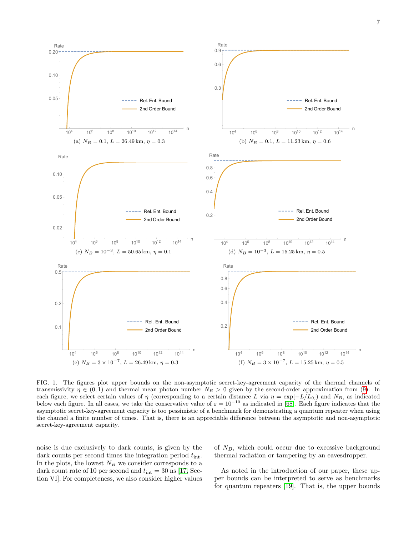

<span id="page-8-0"></span>FIG. 1. The figures plot upper bounds on the non-asymptotic secret-key-agreement capacity of the thermal channels of transmissivity  $\eta \in (0,1)$  and thermal mean photon number  $N_B > 0$  given by the second-order approximation from [\(9\)](#page-3-1). In each figure, we select certain values of  $\eta$  (corresponding to a certain distance L via  $\eta = \exp[-L/L_0]$ ) and  $N_B$ , as indicated below each figure. In all cases, we take the conservative value of  $\varepsilon = 10^{-10}$  as indicated in [\[68\]](#page-16-25). Each figure indicates that the asymptotic secret-key-agreement capacity is too pessimistic of a benchmark for demonstrating a quantum repeater when using the channel a finite number of times. That is, there is an appreciable difference between the asymptotic and non-asymptotic secret-key-agreement capacity.

noise is due exclusively to dark counts, is given by the dark counts per second times the integration period  $t_{\text{int}}$ . In the plots, the lowest  $N_B$  we consider corresponds to a dark count rate of 10 per second and  $t_{\text{int}} = 30 \text{ ns}$  [\[17,](#page-15-8) Section VI]. For completeness, we also consider higher values

of  $N_B$ , which could occur due to excessive background thermal radiation or tampering by an eavesdropper.

As noted in the introduction of our paper, these upper bounds can be interpreted to serve as benchmarks for quantum repeaters [\[19\]](#page-15-1). That is, the upper bounds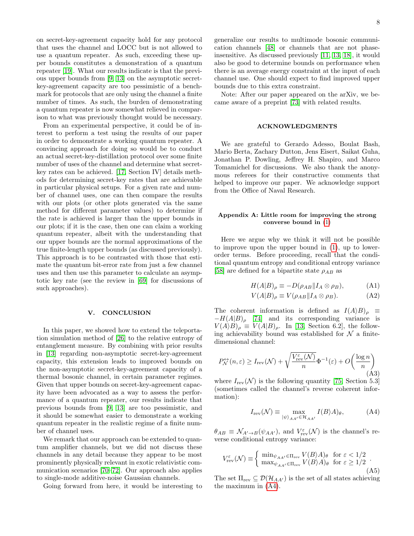on secret-key-agreement capacity hold for any protocol that uses the channel and LOCC but is not allowed to use a quantum repeater. As such, exceeding these upper bounds constitutes a demonstration of a quantum repeater [\[19\]](#page-15-1). What our results indicate is that the previous upper bounds from [\[9,](#page-15-2) [13\]](#page-15-3) on the asymptotic secretkey-agreement capacity are too pessimistic of a benchmark for protocols that are only using the channel a finite number of times. As such, the burden of demonstrating a quantum repeater is now somewhat relieved in comparison to what was previously thought would be necessary.

From an experimental perspective, it could be of interest to perform a test using the results of our paper in order to demonstrate a working quantum repeater. A convincing approach for doing so would be to conduct an actual secret-key-distillation protocol over some finite number of uses of the channel and determine what secretkey rates can be achieved. [\[17,](#page-15-8) Section IV] details methods for determining secret-key rates that are achievable in particular physical setups. For a given rate and number of channel uses, one can then compare the results with our plots (or other plots generated via the same method for different parameter values) to determine if the rate is achieved is larger than the upper bounds in our plots; if it is the case, then one can claim a working quantum repeater, albeit with the understanding that our upper bounds are the normal approximations of the true finite-length upper bounds (as discussed previously). This approach is to be contrasted with those that estimate the quantum bit-error rate from just a few channel uses and then use this parameter to calculate an asymptotic key rate (see the review in [\[69\]](#page-16-26) for discussions of such approaches).

#### V. CONCLUSION

In this paper, we showed how to extend the teleportation simulation method of [\[26\]](#page-15-15) to the relative entropy of entanglement measure. By combining with prior results in [\[13\]](#page-15-3) regarding non-asymptotic secret-key-agreement capacity, this extension leads to improved bounds on the non-asymptotic secret-key-agreement capacity of a thermal bosonic channel, in certain parameter regimes. Given that upper bounds on secret-key-agreement capacity have been advocated as a way to assess the performance of a quantum repeater, our results indicate that previous bounds from [\[9,](#page-15-2) [13\]](#page-15-3) are too pessimistic, and it should be somewhat easier to demonstrate a working quantum repeater in the realistic regime of a finite number of channel uses.

We remark that our approach can be extended to quantum amplifier channels, but we did not discuss these channels in any detail because they appear to be most prominently physically relevant in exotic relativistic communication scenarios [\[70–](#page-16-27)[72\]](#page-16-28). Our approach also applies to single-mode additive-noise Gaussian channels.

Going forward from here, it would be interesting to

generalize our results to multimode bosonic communication channels [\[48\]](#page-16-7) or channels that are not phaseinsensitive. As discussed previously [\[11,](#page-15-23) [13,](#page-15-3) [18\]](#page-15-0), it would also be good to determine bounds on performance when there is an average energy constraint at the input of each channel use. One should expect to find improved upper bounds due to this extra constraint.

Note: After our paper appeared on the arXiv, we became aware of a preprint [\[73\]](#page-16-29) with related results.

#### ACKNOWLEDGMENTS

We are grateful to Gerardo Adesso, Boulat Bash, Mario Berta, Zachary Dutton, Jens Eisert, Saikat Guha, Jonathan P. Dowling, Jeffrey H. Shapiro, and Marco Tomamichel for discussions. We also thank the anonymous referees for their constructive comments that helped to improve our paper. We acknowledge support from the Office of Naval Research.

#### <span id="page-9-0"></span>Appendix A: Little room for improving the strong converse bound in [\(1\)](#page-2-0)

Here we argue why we think it will not be possible to improve upon the upper bound in [\(1\)](#page-2-0), up to lowerorder terms. Before proceeding, recall that the conditional quantum entropy and conditional entropy variance [\[58\]](#page-16-15) are defined for a bipartite state  $\rho_{AB}$  as

$$
H(A|B)_{\rho} \equiv -D(\rho_{AB}||I_A \otimes \rho_B), \tag{A1}
$$

$$
V(A|B)_{\rho} \equiv V(\rho_{AB}||I_A \otimes \rho_B). \tag{A2}
$$

The coherent information is defined as  $I(A \rangle B)_{\rho} \equiv$  $-H(A|B)$ <sub>ρ</sub> [\[74\]](#page-16-30) and its corresponding variance is  $V(A \rangle B)_{\rho} \equiv V(A|B)_{\rho}$ . In [\[13,](#page-15-3) Section 6.2], the following achievability bound was established for  $\mathcal N$  a finitedimensional channel:

<span id="page-9-2"></span>
$$
P_{\mathcal{N}}^{\leftrightarrow}(n,\varepsilon) \ge I_{\text{rev}}(\mathcal{N}) + \sqrt{\frac{V_{\text{rev}}^{\varepsilon}(\mathcal{N})}{n}} \Phi^{-1}(\varepsilon) + O\left(\frac{\log n}{n}\right)
$$
(A3)

where  $I_{rev}(\mathcal{N})$  is the following quantity [\[75,](#page-17-0) Section 5.3] (sometimes called the channel's reverse coherent information):

<span id="page-9-1"></span>
$$
I_{\text{rev}}(\mathcal{N}) \equiv \max_{|\psi\rangle_{AA'} \in \mathcal{H}_{AA'}} I(B \rangle A)_{\theta}, \tag{A4}
$$

 $\theta_{AB} \equiv \mathcal{N}_{A' \to B}(\psi_{AA'})$ , and  $V_{\text{rev}}^{\varepsilon}(\mathcal{N})$  is the channel's reverse conditional entropy variance:

$$
V_{\text{rev}}^{\varepsilon}(\mathcal{N}) \equiv \begin{cases} \min_{\psi_{AA'} \in \Pi_{\text{rev}}} V(B \rangle A)_{\theta} & \text{for } \varepsilon < 1/2\\ \max_{\psi_{AA'} \in \Pi_{\text{rev}}} V(B \rangle A)_{\theta} & \text{for } \varepsilon \ge 1/2 \end{cases} \tag{A5}
$$

The set  $\Pi_{rev} \subseteq \mathcal{D}(\mathcal{H}_{AA'})$  is the set of all states achieving the maximum in [\(A4\)](#page-9-1).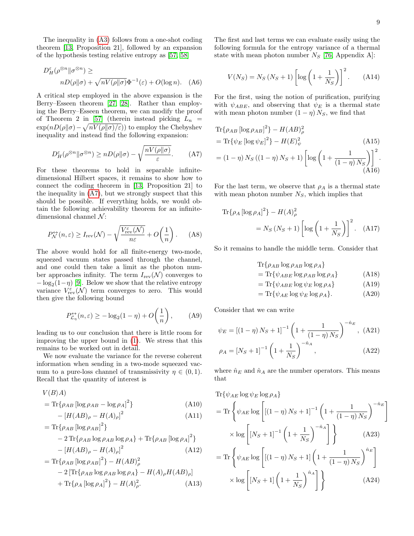The inequality in [\(A3\)](#page-9-2) follows from a one-shot coding theorem [\[13,](#page-15-3) Proposition 21], followed by an expansion of the hypothesis testing relative entropy as [\[57,](#page-16-14) [58\]](#page-16-15)

$$
D_H^{\varepsilon}(\rho^{\otimes n} \|\sigma^{\otimes n}) \ge
$$
  
 
$$
nD(\rho \|\sigma) + \sqrt{nV(\rho \|\sigma)}\Phi^{-1}(\varepsilon) + O(\log n). \quad (A6)
$$

A critical step employed in the above expansion is the Berry–Esseen theorem [\[27,](#page-15-11) [28\]](#page-15-12). Rather than employing the Berry–Esseen theorem, we can modify the proof of Theorem 2 in [\[57\]](#page-16-14) (therein instead picking  $L_n$  =  $\exp(nD(\rho\|\sigma) - \sqrt{nV(\rho\|\sigma)/\varepsilon})$  to employ the Chebyshev inequality and instead find the following expansion:

<span id="page-10-0"></span>
$$
D_H^{\varepsilon}(\rho^{\otimes n} \|\sigma^{\otimes n}) \ge n D(\rho \|\sigma) - \sqrt{\frac{n V(\rho \|\sigma)}{\varepsilon}}.
$$
 (A7)

For these theorems to hold in separable infinitedimensional Hilbert spaces, it remains to show how to connect the coding theorem in [\[13,](#page-15-3) Proposition 21] to the inequality in [\(A7\)](#page-10-0), but we strongly suspect that this should be possible. If everything holds, we would obtain the following achievability theorem for an infinitedimensional channel  $\mathcal{N}$ :

$$
P_{\mathcal{N}}^{\leftrightarrow}(n,\varepsilon) \ge I_{\text{rev}}(\mathcal{N}) - \sqrt{\frac{V_{\text{rev}}^{\varepsilon}(\mathcal{N})}{n\varepsilon}} + O\left(\frac{1}{n}\right). \tag{A8}
$$

The above would hold for all finite-energy two-mode, squeezed vacuum states passed through the channel, and one could then take a limit as the photon number approaches infinity. The term  $I_{rev}(\mathcal{N})$  converges to  $-\log_2(1-\eta)$  [\[9\]](#page-15-2). Below we show that the relative entropy variance  $V_{\text{rev}}^{\varepsilon}(\mathcal{N})$  term converges to zero. This would then give the following bound

$$
P_{\mathcal{L}_{\eta}}^{\leftrightarrow}(n,\varepsilon) \ge -\log_2(1-\eta) + O\left(\frac{1}{n}\right),\qquad(A9)
$$

leading us to our conclusion that there is little room for improving the upper bound in [\(1\)](#page-2-0). We stress that this remains to be worked out in detail.

We now evaluate the variance for the reverse coherent information when sending in a two-mode squeezed vacuum to a pure-loss channel of transmissivity  $\eta \in (0,1)$ . Recall that the quantity of interest is

$$
V(B)A
$$
  
= Tr{ $\rho_{AB}$  [log  $\rho_{AB}$  - log  $\rho_A$ ]<sup>2</sup>} (A10)

$$
- [H(AB)_{\rho} - H(A)_{\rho}]^{2}
$$
 (A11)

$$
= \text{Tr}\{\rho_{AB} [\log \rho_{AB}]^{2}\}\
$$
  
- 2 \text{Tr}\{\rho\_{AB} \log \rho\_{AB} \log \rho\_{A}\} + \text{Tr}\{\rho\_{AB} [\log \rho\_{A}]^{2}\}\  
- [H(AB)\_{\rho} - H(A)\_{\rho}]^{2} (A12)

$$
= \text{Tr}\{\rho_{AB} [\log \rho_{AB}]^{2}\} - H(AB)_{\rho}^{2}
$$
  
- 2 [Tr\{\rho\_{AB} \log \rho\_{AB} \log \rho\_{A}\} - H(A)\_{\rho}H(AB)\_{\rho}]  
+ \text{Tr}\{\rho\_{A} [\log \rho\_{A}]^{2}\} - H(A)\_{\rho}^{2}. \tag{A13}

The first and last terms we can evaluate easily using the following formula for the entropy variance of a thermal state with mean photon number  $N_S$  [\[76,](#page-17-1) Appendix A]:

$$
V(N_S) = N_S (N_S + 1) \left[ \log \left( 1 + \frac{1}{N_S} \right) \right]^2.
$$
 (A14)

For the first, using the notion of purification, purifying with  $\psi_{ABE}$ , and observing that  $\psi_E$  is a thermal state with mean photon number  $(1 - \eta) N_S$ , we find that

$$
\begin{aligned} &\text{Tr}\{\rho_{AB}\left[\log\rho_{AB}\right]^2\} - H(AB)^2_{\rho} \\ &= \text{Tr}\{\psi_E\left[\log\psi_E\right]^2\} - H(E)^2_{\psi} \end{aligned} \tag{A15}
$$
\n
$$
= (1 - \eta) N_S \left( (1 - \eta) N_S + 1 \right) \left[\log\left(1 + \frac{1}{(1 - \eta) N_S}\right)\right]^2.
$$
\n(A16)

For the last term, we observe that  $\rho_A$  is a thermal state with mean photon number  $N<sub>S</sub>$ , which implies that

$$
\begin{aligned} \text{Tr}\{\rho_A \left[ \log \rho_A \right]^2\} - H(A)^2_\rho \\ &= N_S \left( N_S + 1 \right) \left[ \log \left( 1 + \frac{1}{N_S} \right) \right]^2. \end{aligned} \tag{A17}
$$

So it remains to handle the middle term. Consider that

$$
\text{Tr}\{\rho_{AB}\log\rho_{AB}\log\rho_A\}
$$

$$
= \text{Tr}\{\psi_{ABE} \log \rho_{AB} \log \rho_A\} \tag{A18}
$$

$$
= \text{Tr}\{\psi_{ABE} \log \psi_E \log \rho_A\} \tag{A19}
$$

$$
= \text{Tr}\{\psi_{AE}\log\psi_E\log\rho_A\}.
$$
 (A20)

Consider that we can write

$$
\psi_E = \left[ (1 - \eta) N_S + 1 \right]^{-1} \left( 1 + \frac{1}{(1 - \eta) N_S} \right)^{-\hat{n}_E}, \text{(A21)}
$$

$$
\rho_A = [N_S + 1]^{-1} \left( 1 + \frac{1}{N_S} \right)^{-\hat{n}_A}, \tag{A22}
$$

where  $\hat{n}_E$  and  $\hat{n}_A$  are the number operators. This means that

$$
\begin{split} &\text{Tr}\{\psi_{AE}\log\psi_E\log\rho_A\} \\ &= \text{Tr}\left\{\psi_{AE}\log\left[\left[(1-\eta)\,N_S+1\right]^{-1}\left(1+\frac{1}{(1-\eta)\,N_S}\right)^{-\hat{n}_E}\right]\right. \\ &\times\log\left[\left[N_S+1\right]^{-1}\left(1+\frac{1}{N_S}\right)^{-\hat{n}_A}\right]\right\} \qquad( \text{A23}) \\ &= \text{Tr}\left\{\psi_{AE}\log\left[\left[(1-\eta)\,N_S+1\right]\left(1+\frac{1}{(1-\eta)\,N_S}\right)^{\hat{n}_E}\right] \\ &\times\log\left[\left[N_S+1\right]\left(1+\frac{1}{N_S}\right)^{\hat{n}_A}\right]\right\} \qquad( \text{A24}) \end{split}
$$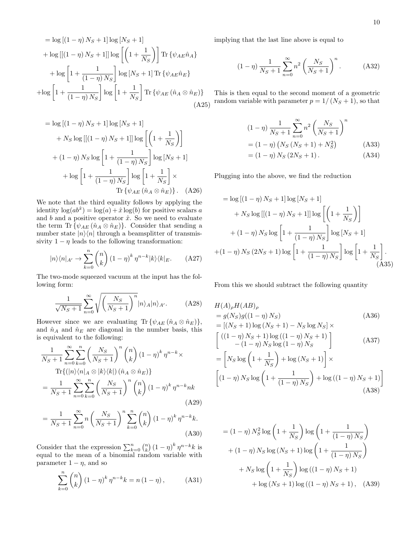$$
= \log\left[\left(1-\eta\right)N_{S}+1\right]\log\left[N_{S}+1\right]
$$
\n
$$
+ \log\left[\left(\left(1-\eta\right)N_{S}+1\right]\right]\log\left[\left(1+\frac{1}{N_{S}}\right)\right] \text{Tr}\left\{\psi_{AE}\hat{n}_{A}\right\}
$$
\n
$$
+ \log\left[1+\frac{1}{\left(1-\eta\right)N_{S}}\right]\log\left[N_{S}+1\right]\text{Tr}\left\{\psi_{AE}\hat{n}_{E}\right\}
$$
\n
$$
+ \log\left[1+\frac{1}{\left(1-\eta\right)N_{S}}\right]\log\left[1+\frac{1}{N_{S}}\right]\text{Tr}\left\{\psi_{AE}\left(\hat{n}_{A}\otimes\hat{n}_{E}\right)\right\}
$$
\n(A25)

$$
= \log\left[\left(1-\eta\right)N_{S}+1\right]\log\left[N_{S}+1\right]
$$

$$
+ N_{S}\log\left[\left[\left(1-\eta\right)N_{S}+1\right]\right]\log\left[\left(1+\frac{1}{N_{S}}\right)\right]
$$

$$
+ \left(1-\eta\right)N_{S}\log\left[1+\frac{1}{\left(1-\eta\right)N_{S}}\right]\log\left[N_{S}+1\right]
$$

$$
+ \log\left[1+\frac{1}{\left(1-\eta\right)N_{S}}\right]\log\left[1+\frac{1}{N_{S}}\right] \times
$$
Tr
$$
\left\{\psi_{AE}\left(\hat{n}_{A}\otimes\hat{n}_{E}\right)\right\}. (A26)
$$

We note that the third equality follows by applying the identity  $\log(ab^{\hat{x}}) = \log(a) + \hat{x} \log(b)$  for positive scalars a and  $b$  and a positive operator  $\hat{x}$ . So we need to evaluate the term Tr  $\{\psi_{AE}(\hat{n}_A \otimes \hat{n}_E)\}\$ . Consider that sending a number state  $|n\rangle\langle n|$  through a beamsplitter of transmissivity  $1 - \eta$  leads to the following transformation:

$$
|n\rangle\langle n|_{A'} \to \sum_{k=0}^{n} \binom{n}{k} (1-\eta)^k \eta^{n-k} |k\rangle\langle k|_{E}. \tag{A27}
$$

The two-mode squeezed vacuum at the input has the following form:

$$
\frac{1}{\sqrt{N_S+1}}\sum_{n=0}^{\infty} \sqrt{\left(\frac{N_S}{N_S+1}\right)^n} |n\rangle_A |n\rangle_{A'}.\tag{A28}
$$

However since we are evaluating Tr  $\{\psi_{AE}(\hat{n}_A \otimes \hat{n}_E)\},\$ and  $\hat{n}_A$  and  $\hat{n}_E$  are diagonal in the number basis, this is equivalent to the following:

$$
\frac{1}{N_S+1} \sum_{n=0}^{\infty} \sum_{k=0}^{n} \left(\frac{N_S}{N_S+1}\right)^n \binom{n}{k} \left(1-\eta\right)^k \eta^{n-k} \times
$$
\n
$$
\text{Tr}\left\{\left(|n\rangle\langle n|_{A}\otimes|k\rangle\langle k|\right) \left(\hat{n}_A\otimes\hat{n}_E\right)\right\}
$$
\n
$$
=\frac{1}{N_S+1} \sum_{n=0}^{\infty} \sum_{k=0}^{n} \left(\frac{N_S}{N_S+1}\right)^n \binom{n}{k} \left(1-\eta\right)^k \eta^{n-k} n k
$$
\n(A29)

$$
= \frac{1}{N_S + 1} \sum_{n=0}^{\infty} n \left( \frac{N_S}{N_S + 1} \right)^n \sum_{k=0}^n {n \choose k} (1 - \eta)^k \eta^{n-k} k.
$$
\n(A30)

Consider that the expression  $\sum_{k=0}^{n} {n \choose k} (1 - \eta)^k \eta^{n-k} k$  is equal to the mean of a binomial random variable with parameter  $1 - \eta$ , and so

$$
\sum_{k=0}^{n} \binom{n}{k} (1 - \eta)^k \eta^{n-k} k = n (1 - \eta), \tag{A31}
$$

implying that the last line above is equal to

$$
(1 - \eta) \frac{1}{N_S + 1} \sum_{n=0}^{\infty} n^2 \left(\frac{N_S}{N_S + 1}\right)^n.
$$
 (A32)

This is then equal to the second moment of a geometric random variable with parameter  $p = 1/(N_S + 1)$ , so that

$$
(1 - \eta) \frac{1}{N_S + 1} \sum_{n=0}^{\infty} n^2 \left(\frac{N_S}{N_S + 1}\right)^n
$$
  
=  $(1 - \eta) (N_S (N_S + 1) + N_S^2)$  (A33)  
=  $(1 - \eta) N_S (2N_S + 1)$  (A34)

$$
= (1 - \eta) N_S (2N_S + 1). \tag{A34}
$$

Plugging into the above, we find the reduction

$$
= \log [(1 - \eta) N_S + 1] \log [N_S + 1]
$$
  
+  $N_S \log [[(1 - \eta) N_S + 1]] \log [ (1 + \frac{1}{N_S}) ]$   
+  $(1 - \eta) N_S \log [1 + \frac{1}{(1 - \eta) N_S}] \log [N_S + 1]$   
+  $(1 - \eta) N_S (2N_S + 1) \log [1 + \frac{1}{(1 - \eta) N_S}] \log [1 + \frac{1}{N_S}].$  (A35)

From this we should subtract the following quantity

$$
H(A)_{\rho}H(AB)_{\rho}
$$
  
=  $g(N_S)g((1 - \eta)N_S)$  (A36)  
=  $[(N_S + 1) \log (N_S + 1) - N_S \log N_S] \times$   

$$
\begin{bmatrix} ((1 - \eta)N_S + 1) \log ((1 - \eta)N_S + 1) \\ -(1 - \eta)N_S \log (1 - \eta)N_S \end{bmatrix}
$$
 (A37)  
=  $\begin{bmatrix} N_S \log (1 + \frac{1}{N_S}) + \log (N_S + 1) \end{bmatrix} \times$ 

$$
= \left[ N_S \log \left( 1 + \frac{1}{N_S} \right) + \log \left( N_S + 1 \right) \right] \times \left[ \left( 1 - \eta \right) N_S \log \left( 1 + \frac{1}{\left( 1 - \eta \right) N_S} \right) + \log \left( \left( 1 - \eta \right) N_S + 1 \right) \right] \tag{A38}
$$

$$
= (1 - \eta) N_S^2 \log \left( 1 + \frac{1}{N_S} \right) \log \left( 1 + \frac{1}{(1 - \eta) N_S} \right)
$$
  
+ 
$$
(1 - \eta) N_S \log (N_S + 1) \log \left( 1 + \frac{1}{(1 - \eta) N_S} \right)
$$
  
+ 
$$
N_S \log \left( 1 + \frac{1}{N_S} \right) \log ((1 - \eta) N_S + 1)
$$
  
+ 
$$
\log (N_S + 1) \log ((1 - \eta) N_S + 1), \quad \text{(A39)}
$$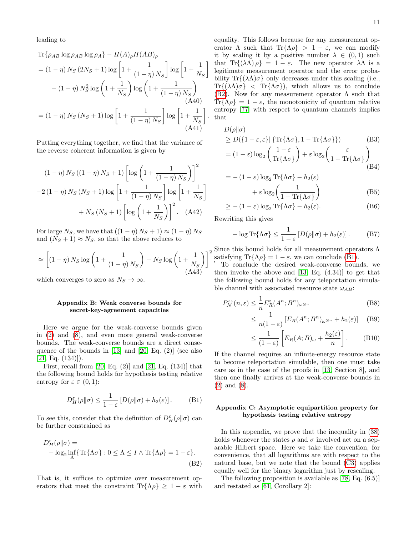leading to

$$
\begin{split} \text{Tr}\{\rho_{AB}\log\rho_{AB}\log\rho_{A}\} - H(A)_{\rho}H(AB)_{\rho} \\ &= (1-\eta)\,N_{S}\,(2N_{S}+1)\log\left[1+\frac{1}{(1-\eta)\,N_{S}}\right]\log\left[1+\frac{1}{N_{S}}\right] \\ &- (1-\eta)\,N_{S}^{2}\log\left(1+\frac{1}{N_{S}}\right)\log\left(1+\frac{1}{(1-\eta)\,N_{S}}\right) \\ &\quad \text{(A40)} \\ &= (1-\eta)\,N_{S}\,(N_{S}+1)\log\left[1+\frac{1}{(1-\eta)\,N_{S}}\right]\log\left[1+\frac{1}{N_{S}}\right]. \end{split}
$$

Putting everything together, we find that the variance of the reverse coherent information is given by

$$
(1 - \eta) N_S ((1 - \eta) N_S + 1) \left[ \log \left( 1 + \frac{1}{(1 - \eta) N_S} \right) \right]^2
$$

$$
-2 (1 - \eta) N_S (N_S + 1) \log \left[ 1 + \frac{1}{(1 - \eta) N_S} \right] \log \left[ 1 + \frac{1}{N_S} \right]
$$

$$
+ N_S (N_S + 1) \left[ \log \left( 1 + \frac{1}{N_S} \right) \right]^2. (A42)
$$

For large  $N_S$ , we have that  $((1 - \eta) N_S + 1) \approx (1 - \eta) N_S$ and  $(N_S + 1) \approx N_S$ , so that the above reduces to

$$
\approx \left[ \left( 1 - \eta \right) N_S \log \left( 1 + \frac{1}{\left( 1 - \eta \right) N_S} \right) - N_S \log \left( 1 + \frac{1}{N_S} \right) \right] \tag{A43}
$$

which converges to zero as  $N_S \to \infty$ .

#### <span id="page-12-0"></span>Appendix B: Weak converse bounds for secret-key-agreement capacities

Here we argue for the weak-converse bounds given in [\(2\)](#page-2-1) and [\(8\)](#page-3-2), and even more general weak-converse bounds. The weak-converse bounds are a direct consequence of the bounds in [\[13\]](#page-15-3) and [\[20,](#page-15-4) Eq. (2)] (see also  $[21, Eq. (134)]$  $[21, Eq. (134)]$ .

First, recall from  $[20, Eq. (2)]$  $[20, Eq. (2)]$  and  $[21, Eq. (134)]$  $[21, Eq. (134)]$  that the following bound holds for hypothesis testing relative entropy for  $\varepsilon \in (0,1)$ :

<span id="page-12-3"></span>
$$
D_H^{\varepsilon}(\rho \| \sigma) \le \frac{1}{1 - \varepsilon} \left[ D(\rho \| \sigma) + h_2(\varepsilon) \right]. \tag{B1}
$$

To see this, consider that the definition of  $D_H^{\varepsilon}(\rho||\sigma)$  can be further constrained as

$$
D_H^{\varepsilon}(\rho||\sigma) = -\log_2 \inf_{\Lambda} \{ \text{Tr}\{\Lambda \sigma\} : 0 \le \Lambda \le I \wedge \text{Tr}\{\Lambda \rho\} = 1 - \varepsilon \}. \tag{B2}
$$

That is, it suffices to optimize over measurement operators that meet the constraint Tr{ $\Lambda \rho$ }  $\geq 1 - \varepsilon$  with

equality. This follows because for any measurement operator  $\Lambda$  such that  $\text{Tr}\{\Lambda\rho\} > 1 - \varepsilon$ , we can modify it by scaling it by a positive number  $\lambda \in (0,1)$  such that Tr{ $(\lambda \Lambda) \rho$ } = 1 – ε. The new operator  $\lambda \Lambda$  is a legitimate measurement operator and the error probability Tr $\{(\lambda \Lambda) \sigma\}$  only decreases under this scaling (i.e., Tr{ $(\lambda \Lambda) \sigma$ } < Tr{ $\Lambda \sigma$ }, which allows us to conclude [\(B2\)](#page-12-2). Now for any measurement operator  $\Lambda$  such that Tr{ $\Lambda \rho$ } = 1 – ε, the monotonicity of quantum relative entropy [\[77\]](#page-17-2) with respect to quantum channels implies that

$$
D(\rho||\sigma)
$$
  
\n
$$
\geq D(\lbrace 1-\varepsilon, \varepsilon \rbrace || \lbrace \text{Tr}\lbrace \Lambda \sigma \rbrace, 1 - \text{Tr}\lbrace \Lambda \sigma \rbrace \rbrace)
$$
(B3)  
\n
$$
= (1-\varepsilon) \log_2 \left( \frac{1-\varepsilon}{\text{Tr}\lbrace \Lambda \sigma \rbrace} \right) + \varepsilon \log_2 \left( \frac{\varepsilon}{1 - \text{Tr}\lbrace \Lambda \sigma \rbrace} \right)
$$
(B4)

$$
= - (1 - \varepsilon) \log_2 \text{Tr}\{\Lambda \sigma\} - h_2(\varepsilon)
$$

$$
+ \varepsilon \log_2 \left(\frac{1}{1 - \text{Tr}\{\Lambda \sigma\}}\right) \tag{B5}
$$

$$
\geq -(1-\varepsilon)\log_2 \text{Tr}\{\Lambda \sigma\} - h_2(\varepsilon). \tag{B6}
$$

Rewriting this gives

$$
-\log \text{Tr}\{\Lambda \sigma\} \le \frac{1}{1-\varepsilon} \left[ D(\rho \| \sigma) + h_2(\varepsilon) \right]. \tag{B7}
$$

Since this bound holds for all measurement operators  $\Lambda$ <br>  $\begin{pmatrix} 2 & 3 \end{pmatrix}^2$  satisfying  $\text{Tr}\{\Lambda \rho\} = 1 - \varepsilon$  we can conclude (B1) satisfying Tr{ $\Lambda \rho$ } = 1 –  $\varepsilon$ , we can conclude [\(B1\)](#page-12-3).

To conclude the desired weak-converse bounds, we then invoke the above and  $[13, Eq. (4.34)]$  $[13, Eq. (4.34)]$  to get that the following bound holds for any teleportation simulable channel with associated resource state  $\omega_{AB}$ :

$$
P_N^{\leftrightarrow}(n,\varepsilon) \le \frac{1}{n} E_R^{\varepsilon}(A^n; B^n)_{\omega^{\otimes n}} \tag{B8}
$$

$$
\leq \frac{1}{n(1-\varepsilon)} \left[ E_R(A^n; B^n)_{\omega^{\otimes n}} + h_2(\varepsilon) \right] \quad (B9)
$$

$$
\leq \frac{1}{(1-\varepsilon)} \left[ E_R(A;B)_{\omega} + \frac{h_2(\varepsilon)}{n} \right].
$$
 (B10)

If the channel requires an infinite-energy resource state to become teleportation simulable, then one must take care as in the case of the proofs in [\[13,](#page-15-3) Section 8], and then one finally arrives at the weak-converse bounds in [\(2\)](#page-2-1) and [\(8\)](#page-3-2).

#### <span id="page-12-1"></span>Appendix C: Asymptotic equipartition property for hypothesis testing relative entropy

In this appendix, we prove that the inequality in [\(38\)](#page-6-3) holds whenever the states  $\rho$  and  $\sigma$  involved act on a separable Hilbert space. Here we take the convention, for convenience, that all logarithms are with respect to the natural base, but we note that the bound [\(C3\)](#page-13-1) applies equally well for the binary logarithm just by rescaling.

<span id="page-12-2"></span>The following proposition is available as [\[78,](#page-17-3) Eq. (6.5)] and restated as [\[61,](#page-16-18) Corollary 2]: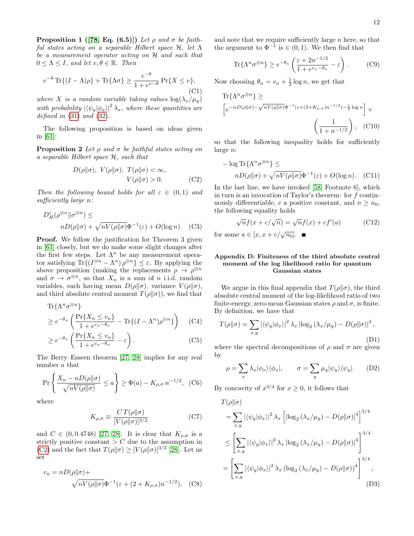**Proposition 1** ([\[78,](#page-17-3) Eq. (6.5)]) Let  $\rho$  and  $\sigma$  be faithful states acting on a separable Hilbert space H, let Λ be a measurement operator acting on H and such that  $0 \leq \Lambda \leq I$ , and let  $v, \theta \in \mathbb{R}$ . Then

$$
e^{-\theta} \operatorname{Tr}\{(I-\Lambda)\rho\} + \operatorname{Tr}\{\Lambda\sigma\} \ge \frac{e^{-\theta}}{1 + e^{v-\theta}} \operatorname{Pr}\{X \le v\},\tag{C1}
$$

where X is a random variable taking values  $\log(\lambda_x/\mu_y)$ with probability  $|\langle \psi_y | \phi_x \rangle|^2 \lambda_x$ , where these quantities are defined in  $(31)$  and  $(32)$ .

The following proposition is based on ideas given in [\[61\]](#page-16-18):

**Proposition 2** Let  $\rho$  and  $\sigma$  be faithful states acting on a separable Hilbert space H, such that

$$
D(\rho||\sigma), V(\rho||\sigma), T(\rho||\sigma) < \infty,
$$
  

$$
V(\rho||\sigma) > 0.
$$
 (C2)

Then the following bound holds for all  $\varepsilon \in (0,1)$  and sufficiently large n:

$$
D_H^{\varepsilon}(\rho^{\otimes n} \|\sigma^{\otimes n}) \le
$$
  
 
$$
nD(\rho \|\sigma) + \sqrt{nV(\rho \|\sigma)}\Phi^{-1}(\varepsilon) + O(\log n). \quad (C3)
$$

**Proof.** We follow the justification for Theorem 3 given in [\[61\]](#page-16-18) closely, but we do make some slight changes after the first few steps. Let  $\Lambda^n$  be any measurement operator satisfying  $\text{Tr}\{(I^{\otimes n} - \Lambda^n) \rho^{\otimes n}\}\leq \varepsilon$ . By applying the above proposition (making the replacements  $\rho \to \rho^{\otimes n}$ and  $\sigma \to \sigma^{\otimes n}$ , so that  $X_n$  is a sum of n i.i.d. random variables, each having mean  $D(\rho||\sigma)$ , variance  $V(\rho||\sigma)$ , and third absolute central moment  $T(\rho||\sigma)$ , we find that

$$
\text{Tr}\{\Lambda^n \sigma^{\otimes n}\}\
$$
\n
$$
\geq e^{-\theta_n} \left( \frac{\text{Pr}\{X_n \leq v_n\}}{1 + e^{v_n - \theta_n}} - \text{Tr}\{(I - \Lambda^n) \rho^{\otimes n}\}\right) \tag{C4}
$$

$$
\geq e^{-\theta_n} \left( \frac{\Pr\{X_n \le v_n\}}{1 + e^{v_n - \theta_n}} - \varepsilon \right). \tag{C5}
$$

The Berry–Esseen theorem [\[27,](#page-15-11) [28\]](#page-15-12) implies for any real number a that

$$
\Pr\left\{\frac{X_n - nD(\rho||\sigma)}{\sqrt{nV(\rho||\sigma)}} \le a\right\} \ge \Phi(a) - K_{\rho,\sigma} n^{-1/2}, \tag{C6}
$$

where

$$
K_{\rho,\sigma} \equiv \frac{CT(\rho||\sigma)}{[V(\rho||\sigma)]^{3/2}}\tag{C7}
$$

and  $C \in (0, 0.4748)$  [\[27,](#page-15-11) [28\]](#page-15-12). It is clear that  $K_{\rho,\sigma}$  is a strictly positive constant  $\geq C$  due to the assumption in [\(C2\)](#page-13-2) and the fact that  $T(\rho||\sigma) \geq [V(\rho||\sigma)]^{3/2}$  [\[28\]](#page-15-12). Let us set

$$
v_n = nD(\rho||\sigma) +
$$
  

$$
\sqrt{nV(\rho||\sigma)}\Phi^{-1}(\varepsilon + (2 + K_{\rho,\sigma})n^{-1/2}), \quad \text{(C8)}
$$

and note that we require sufficiently large  $n$  here, so that the argument to  $\Phi^{-1}$  is  $\in (0,1)$ . We then find that

$$
\text{Tr}\{\Lambda^n \sigma^{\otimes n}\} \ge e^{-\theta_n} \left(\frac{\varepsilon + 2n^{-1/2}}{1 + e^{v_n - \theta_n}} - \varepsilon\right). \tag{C9}
$$

Now choosing  $\theta_n = v_n + \frac{1}{2} \log n$ , we get that

Tr
$$
\{\Lambda^n \sigma^{\otimes n}\}\
$$
  
\n
$$
\left[e^{-nD(\rho||\sigma) - \sqrt{nV(\rho||\sigma)}\Phi^{-1}(\varepsilon + (2 + K_{\rho,\sigma})n^{-1/2}) - \frac{1}{2}\log n}\right] \times
$$
\n
$$
\left(\frac{1}{1 + n^{-1/2}}\right), \quad \text{(C10)}
$$

so that the following inequality holds for sufficiently large n:

$$
- \log \text{Tr}\{\Lambda^n \sigma^{\otimes n}\} \le
$$
  
 
$$
nD(\rho||\sigma) + \sqrt{nV(\rho||\sigma)}\Phi^{-1}(\varepsilon) + O(\log n). \quad \text{(C11)}
$$

<span id="page-13-2"></span>In the last line, we have invoked [\[58,](#page-16-15) Footnote 6], which in turn is an invocation of Taylor's theorem: for  $f$  continuously differentiable, c a positive constant, and  $n \geq n_0$ , the following equality holds

$$
\sqrt{n}f(x + c/\sqrt{n}) = \sqrt{n}f(x) + cf'(a)
$$
 (C12)

<span id="page-13-1"></span>for some  $a \in [x, x + c/\sqrt{n_0}].$ 

#### <span id="page-13-0"></span>Appendix D: Finiteness of the third absolute central moment of the log likelihood ratio for quantum Gaussian states

We argue in this final appendix that  $T(\rho||\sigma)$ , the third absolute central moment of the log-likelihood ratio of two finite-energy, zero-mean Gaussian states  $\rho$  and  $\sigma$ , is finite. By definition, we have that

$$
T(\rho||\sigma) = \sum_{x,y} |\langle \psi_y | \phi_x \rangle|^2 \lambda_x |\log_2(\lambda_x/\mu_y) - D(\rho||\sigma)|^3,
$$
\n(D1)

where the spectral decompositions of  $\rho$  and  $\sigma$  are given by

$$
\rho = \sum_{x} \lambda_x |\phi_x\rangle\langle\phi_x|, \qquad \sigma = \sum_{y} \mu_y |\psi_y\rangle\langle\psi_y|.
$$
 (D2)

By concavity of  $x^{3/4}$  for  $x \ge 0$ , it follows that

<span id="page-13-3"></span>
$$
T(\rho||\sigma)
$$
  
\n
$$
= \sum_{x,y} |\langle \psi_y | \phi_x \rangle|^2 \lambda_x \left[ |\log_2(\lambda_x/\mu_y) - D(\rho||\sigma)|^4 \right]^{3/4}
$$
  
\n
$$
\leq \left[ \sum_{x,y} |\langle \psi_y | \phi_x \rangle|^2 \lambda_x |\log_2(\lambda_x/\mu_y) - D(\rho||\sigma)|^4 \right]^{3/4}
$$
  
\n
$$
= \left[ \sum_{x,y} |\langle \psi_y | \phi_x \rangle|^2 \lambda_x (\log_2(\lambda_x/\mu_y) - D(\rho||\sigma))^4 \right]^{3/4},
$$
  
\n(D3)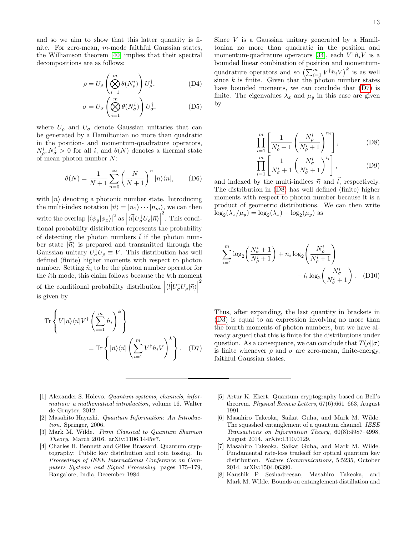and so we aim to show that this latter quantity is finite. For zero-mean, m-mode faithful Gaussian states, the Williamson theorem [\[40\]](#page-16-0) implies that their spectral decompositions are as follows:

$$
\rho = U_{\rho} \left( \bigotimes_{i=1}^{m} \theta(N_{\rho}^{i}) \right) U_{\rho}^{\dagger}, \tag{D4}
$$

$$
\sigma = U_{\sigma} \left( \bigotimes_{i=1}^{m} \theta(N_{\sigma}^{i}) \right) U_{\sigma}^{\dagger}, \tag{D5}
$$

where  $U_{\rho}$  and  $U_{\sigma}$  denote Gaussian unitaries that can be generated by a Hamiltonian no more than quadratic in the position- and momentum-quadrature operators,  $N_{\rho}^{i}, N_{\sigma}^{i} > 0$  for all i, and  $\theta(N)$  denotes a thermal state of mean photon number N:

$$
\theta(N) = \frac{1}{N+1} \sum_{n=0}^{\infty} \left(\frac{N}{N+1}\right)^n |n\rangle\langle n|, \quad (D6)
$$

with  $|n\rangle$  denoting a photonic number state. Introducing the multi-index notation  $|\vec{n}\rangle = |n_1\rangle \cdots |n_m\rangle$ , we can then write the overlap  $|\langle \psi_y | \phi_x \rangle|^2$  as  $\langle \langle \vec{l} | U^{\dagger}_{\sigma} U_{\rho} | \vec{n} \rangle$ 2 . This conditional probability distribution represents the probability of detecting the photon numbers  $\ell$  if the photon number state  $|\vec{n}\rangle$  is prepared and transmitted through the Gaussian unitary  $U^{\dagger}_{\sigma}U_{\rho} \equiv V$ . This distribution has well defined (finite) higher moments with respect to photon number. Setting  $\hat{n}_i$  to be the photon number operator for the ith mode, this claim follows because the kth moment of the conditional probability distribution  $\left| \langle \vec{l} | U_{\sigma}^{\dagger} U_{\rho} | \vec{n} \rangle \right|$ 2 is given by

$$
\operatorname{Tr}\left\{V|\vec{n}\rangle\langle\vec{n}|V^{\dagger}\left(\sum_{i=1}^{m}\hat{n}_{i}\right)^{k}\right\} \n= \operatorname{Tr}\left\{|\vec{n}\rangle\langle\vec{n}|\left(\sum_{i=1}^{m}V^{\dagger}\hat{n}_{i}V\right)^{k}\right\}.
$$
 (D7)

Since  $V$  is a Gaussian unitary generated by a Hamiltonian no more than quadratic in the position and momentum-quadrature operators [\[34\]](#page-15-17), each  $V^{\dagger} \hat{n}_i V$  is a bounded linear combination of position and momentumquadrature operators and so  $\left(\sum_{i=1}^m V^\dagger \hat{n}_i V\right)^k$  is as well since  $k$  is finite. Given that the photon number states have bounded moments, we can conclude that [\(D7\)](#page-14-6) is finite. The eigenvalues  $\lambda_x$  and  $\mu_y$  in this case are given by

<span id="page-14-7"></span>
$$
\prod_{i=1}^{m} \left[ \frac{1}{N_{\rho}^{i} + 1} \left( \frac{N_{\rho}^{i}}{N_{\rho}^{i} + 1} \right)^{n_{i}} \right],
$$
 (D8)

$$
\prod_{i=1}^{m} \left[ \frac{1}{N_{\sigma}^{i} + 1} \left( \frac{N_{\sigma}^{i}}{N_{\sigma}^{i} + 1} \right)^{l_{i}} \right],
$$
 (D9)

and indexed by the multi-indices  $\vec{n}$  and  $\vec{l}$ , respectively. The distribution in [\(D8\)](#page-14-7) has well defined (finite) higher moments with respect to photon number because it is a product of geometric distributions. We can then write  $\log_2(\lambda_x/\mu_y) = \log_2(\lambda_x) - \log_2(\mu_y)$  as

$$
\sum_{i=1}^{m} \log_2 \left( \frac{N_{\sigma}^i + 1}{N_{\rho}^i + 1} \right) + n_i \log_2 \left( \frac{N_{\rho}^i}{N_{\rho}^i + 1} \right) - l_i \log_2 \left( \frac{N_{\sigma}^i}{N_{\sigma}^i + 1} \right). \quad (D10)
$$

<span id="page-14-6"></span>Thus, after expanding, the last quantity in brackets in [\(D3\)](#page-13-3) is equal to an expression involving no more than the fourth moments of photon numbers, but we have already argued that this is finite for the distributions under question. As a consequence, we can conclude that  $T(\rho||\sigma)$ is finite whenever  $\rho$  and  $\sigma$  are zero-mean, finite-energy, faithful Gaussian states.

- <span id="page-14-0"></span>[1] Alexander S. Holevo. Quantum systems, channels, information: a mathematical introduction, volume 16. Walter de Gruyter, 2012.
- [2] Masahito Hayashi. Quantum Information: An Introduction. Springer, 2006.
- <span id="page-14-1"></span>[3] Mark M. Wilde. From Classical to Quantum Shannon Theory. March 2016. arXiv:1106.1445v7.
- <span id="page-14-2"></span>[4] Charles H. Bennett and Gilles Brassard. Quantum cryptography: Public key distribution and coin tossing. In Proceedings of IEEE International Conference on Computers Systems and Signal Processing, pages 175–179, Bangalore, India, December 1984.
- <span id="page-14-3"></span>[5] Artur K. Ekert. Quantum cryptography based on Bell's theorem. Physical Review Letters, 67(6):661–663, August 1991.
- <span id="page-14-4"></span>[6] Masahiro Takeoka, Saikat Guha, and Mark M. Wilde. The squashed entanglement of a quantum channel. IEEE Transactions on Information Theory, 60(8):4987–4998, August 2014. arXiv:1310.0129.
- <span id="page-14-5"></span>[7] Masahiro Takeoka, Saikat Guha, and Mark M. Wilde. Fundamental rate-loss tradeoff for optical quantum key distribution. Nature Communications, 5:5235, October 2014. arXiv:1504.06390.
- [8] Kaushik P. Seshadreesan, Masahiro Takeoka, and Mark M. Wilde. Bounds on entanglement distillation and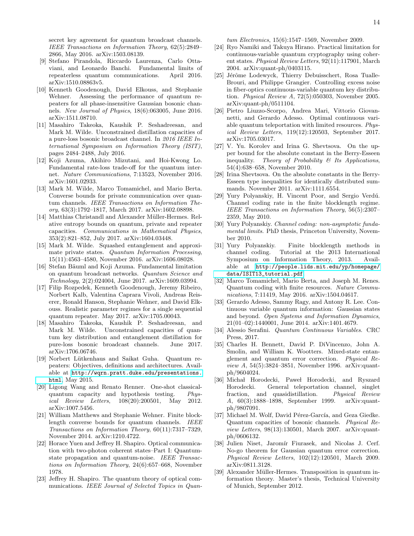secret key agreement for quantum broadcast channels. IEEE Transactions on Information Theory, 62(5):2849– 2866, May 2016. arXiv:1503.08139.

- <span id="page-15-2"></span>[9] Stefano Pirandola, Riccardo Laurenza, Carlo Ottaviani, and Leonardo Banchi. Fundamental limits of repeaterless quantum communications. April 2016. arXiv:1510.08863v5.
- [10] Kenneth Goodenough, David Elkouss, and Stephanie Wehner. Assessing the performance of quantum repeaters for all phase-insensitive Gaussian bosonic channels. New Journal of Physics, 18(6):063005, June 2016. arXiv:1511.08710.
- <span id="page-15-23"></span>[11] Masahiro Takeoka, Kaushik P. Seshadreesan, and Mark M. Wilde. Unconstrained distillation capacities of a pure-loss bosonic broadcast channel. In 2016 IEEE International Symposium on Information Theory (ISIT), pages 2484–2488, July 2016.
- [12] Koji Azuma, Akihiro Mizutani, and Hoi-Kwong Lo. Fundamental rate-loss trade-off for the quantum internet. Nature Communications, 7:13523, November 2016. arXiv:1601.02933.
- <span id="page-15-3"></span>[13] Mark M. Wilde, Marco Tomamichel, and Mario Berta. Converse bounds for private communication over quantum channels. IEEE Transactions on Information Theory, 63(3):1792–1817, March 2017. arXiv:1602.08898.
- [14] Matthias Christandl and Alexander Müller-Hermes. Relative entropy bounds on quantum, private and repeater capacities. Communications in Mathematical Physics, 353(2):821–852, July 2017. arXiv:1604.03448.
- [15] Mark M. Wilde. Squashed entanglement and approximate private states. Quantum Information Processing, 15(11):4563–4580, November 2016. arXiv:1606.08028.
- [16] Stefan Bäuml and Koji Azuma. Fundamental limitation on quantum broadcast networks. Quantum Science and Technology, 2(2):024004, June 2017. arXiv:1609.03994.
- <span id="page-15-8"></span>[17] Filip Rozpedek, Kenneth Goodenough, Jeremy Ribeiro, Norbert Kalb, Valentina Caprara Vivoli, Andreas Reiserer, Ronald Hanson, Stephanie Wehner, and David Elkouss. Realistic parameter regimes for a single sequential quantum repeater. May 2017. arXiv:1705.00043.
- <span id="page-15-0"></span>[18] Masahiro Takeoka, Kaushik P. Seshadreesan, and Mark M. Wilde. Unconstrained capacities of quantum key distribution and entanglement distillation for pure-loss bosonic broadcast channels. June 2017. arXiv:1706.06746.
- <span id="page-15-1"></span>[19] Norbert L¨utkenhaus and Saikat Guha. Quantum repeaters: Objectives, definitions and architectures. Available at [http://wqrn.pratt.duke.edu/presentations.](http://wqrn.pratt.duke.edu/presentations.html) [html](http://wqrn.pratt.duke.edu/presentations.html), May 2015.
- <span id="page-15-4"></span>[20] Ligong Wang and Renato Renner. One-shot classicalquantum capacity and hypothesis testing. Physical Review Letters, 108(20):200501, May 2012. arXiv:1007.5456.
- <span id="page-15-5"></span>[21] William Matthews and Stephanie Wehner. Finite blocklength converse bounds for quantum channels. IEEE Transactions on Information Theory, 60(11):7317–7329, November 2014. arXiv:1210.4722.
- <span id="page-15-6"></span>[22] Horace Yuen and Jeffrey H. Shapiro. Optical communication with two-photon coherent states–Part I: Quantumstate propagation and quantum-noise. IEEE Transactions on Information Theory, 24(6):657–668, November 1978.
- <span id="page-15-7"></span>[23] Jeffrey H. Shapiro. The quantum theory of optical communications. IEEE Journal of Selected Topics in Quan-

tum Electronics, 15(6):1547–1569, November 2009.

- <span id="page-15-9"></span>[24] Ryo Namiki and Takuya Hirano. Practical limitation for continuous-variable quantum cryptography using coherent states. Physical Review Letters, 92(11):117901, March 2004. arXiv:quant-ph/0403115.
- <span id="page-15-10"></span>[25] Jérôme Lodewyck, Thierry Debuisschert, Rosa Tualle-Brouri, and Philippe Grangier. Controlling excess noise in fiber-optics continuous-variable quantum key distribution. Physical Review A, 72(5):050303, November 2005. arXiv:quant-ph/0511104.
- <span id="page-15-15"></span>[26] Pietro Liuzzo-Scorpo, Andrea Mari, Vittorio Giovannetti, and Gerardo Adesso. Optimal continuous variable quantum teleportation with limited resources. Physical Review Letters, 119(12):120503, September 2017. arXiv:1705.03017.
- <span id="page-15-11"></span>[27] V. Yu. Korolev and Irina G. Shevtsova. On the upper bound for the absolute constant in the Berry-Esseen inequality. Theory of Probability  $\mathcal C$  Its Applications, 54(4):638–658, November 2010.
- <span id="page-15-12"></span>[28] Irina Shevtsova. On the absolute constants in the Berry-Esseen type inequalities for identically distributed summands. November 2011. arXiv:1111.6554.
- <span id="page-15-13"></span>[29] Yury Polyanskiy, H. Vincent Poor, and Sergio Verdú. Channel coding rate in the finite blocklength regime. IEEE Transactions on Information Theory, 56(5):2307– 2359, May 2010.
- [30] Yury Polyanskiy. Channel coding: non-asymptotic fundamental limits. PhD thesis, Princeton University, November 2010.
- [31] Yury Polyanskiy. Finite blocklength methods in channel coding. Tutorial at the 2013 International Symposium on Information Theory, 2013. Available at [http://people.lids.mit.edu/yp/homepage/](http://people.lids.mit.edu/yp/homepage/data/ISIT13_tutorial.pdf) [data/ISIT13\\_tutorial.pdf](http://people.lids.mit.edu/yp/homepage/data/ISIT13_tutorial.pdf).
- <span id="page-15-14"></span>[32] Marco Tomamichel, Mario Berta, and Joseph M. Renes. Quantum coding with finite resources. Nature Communications, 7:11419, May 2016. arXiv:1504.04617.
- <span id="page-15-16"></span>[33] Gerardo Adesso, Sammy Ragy, and Antony R. Lee. Continuous variable quantum information: Gaussian states and beyond. Open Systems and Information Dynamics, 21(01–02):1440001, June 2014. arXiv:1401.4679.
- <span id="page-15-17"></span>[34] Alessio Serafini. Quantum Continuous Variables. CRC Press, 2017.
- <span id="page-15-18"></span>[35] Charles H. Bennett, David P. DiVincenzo, John A. Smolin, and William K. Wootters. Mixed-state entanglement and quantum error correction. Physical Review A, 54(5):3824–3851, November 1996. arXiv:quantph/9604024.
- <span id="page-15-20"></span>[36] Michał Horodecki, Paweł Horodecki, and Ryszard Horodecki. General teleportation channel, singlet fraction, and quasidistillation. Physical Review A, 60(3):1888–1898, September 1999. arXiv:quantph/9807091.
- <span id="page-15-22"></span>[37] Michael M. Wolf, David Pérez-García, and Geza Giedke. Quantum capacities of bosonic channels. Physical Review Letters, 98(13):130501, March 2007. arXiv:quantph/0606132.
- <span id="page-15-21"></span>[38] Julien Niset, Jaromír Fiurasek, and Nicolas J. Cerf. No-go theorem for Gaussian quantum error correction. Physical Review Letters, 102(12):120501, March 2009. arXiv:0811.3128.
- <span id="page-15-19"></span>[39] Alexander Müller-Hermes. Transposition in quantum information theory. Master's thesis, Technical University of Munich, September 2012.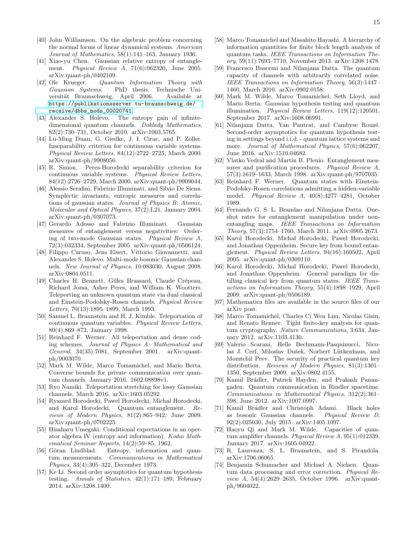- <span id="page-16-0"></span>[40] John Williamson. On the algebraic problem concerning the normal forms of linear dynamical systems. American Journal of Mathematics, 58(1):141–163, January 1936.
- <span id="page-16-1"></span>[41] Xiao-yu Chen. Gaussian relative entropy of entanglement. Physical Review A, 71(6):062320, June 2005. arXiv:quant-ph/0402109.
- [42] Ole Krueger. Quantum Information Theory with Gaussian Systems. PhD thesis, Technische Universität Braunschweig, April 2006. Available at [https://publikationsserver.tu-braunschweig.de/](https://publikationsserver.tu-braunschweig.de/receive/dbbs_mods_00020741) [receive/dbbs\\_mods\\_00020741](https://publikationsserver.tu-braunschweig.de/receive/dbbs_mods_00020741).
- <span id="page-16-2"></span>[43] Alexander S. Holevo. The entropy gain of infinitedimensional quantum channels. Doklady Mathematics, 82(2):730–731, October 2010. arXiv:1003.5765.
- <span id="page-16-3"></span>[44] Lu-Ming Duan, G. Giedke, J. I. Cirac, and P. Zoller. Inseparability criterion for continuous variable systems. Physical Review Letters, 84(12):2722–2725, March 2000. arXiv:quant-ph/9908056.
- <span id="page-16-4"></span>[45] R. Simon. Peres-Horodecki separability criterion for continuous variable systems. Physical Review Letters, 84(12):2726–2729, March 2000. arXiv:quant-ph/9909044.
- <span id="page-16-5"></span>[46] Alessio Serafini, Fabrizio Illuminati, and Silvio De Siena. Symplectic invariants, entropic measures and correlations of gaussian states. Journal of Physics B: Atomic, Molecular and Optical Physics, 37(2):L21, January 2004. arXiv:quant-ph/0307073.
- <span id="page-16-6"></span>[47] Gerardo Adesso and Fabrizio Illuminati. Gaussian measures of entanglement versus negativities: Ordering of two-mode Gaussian states. Physical Review A, 72(3):032334, September 2005. arXiv:quant-ph/0506124.
- <span id="page-16-7"></span>[48] Filippo Caruso, Jens Eisert, Vittorio Giovannetti, and Alexander S. Holevo. Multi-mode bosonic Gaussian channels. New Journal of Physics, 10:083030, August 2008. arXiv:0804.0511.
- <span id="page-16-8"></span>[49] Charles H. Bennett, Gilles Brassard, Claude Crépeau, Richard Jozsa, Asher Peres, and William K. Wootters. Teleporting an unknown quantum state via dual classical and Einstein-Podolsky-Rosen channels. Physical Review Letters, 70(13):1895–1899, March 1993.
- [50] Samuel L. Braunstein and H. J. Kimble. Teleportation of continuous quantum variables. Physical Review Letters, 80(4):869–872, January 1998.
- <span id="page-16-9"></span>[51] Reinhard F. Werner. All teleportation and dense coding schemes. Journal of Physics A: Mathematical and General, 34(35):7081, September 2001. arXiv:quantph/0003070.
- [52] Mark M. Wilde, Marco Tomamichel, and Mario Berta. Converse bounds for private communication over quantum channels. January 2016. 1602.08898v1.
- <span id="page-16-10"></span>[53] Ryo Namiki. Teleportation stretching for lossy Gaussian channels. March 2016. arXiv:1603.05292.
- <span id="page-16-11"></span>[54] Ryszard Horodecki, Pawel Horodecki, Michal Horodecki, and Karol Horodecki. Quantum entanglement. Reviews of Modern Physics, 81(2):865–942, June 2009. arXiv:quant-ph/0702225.
- <span id="page-16-12"></span>[55] Hisaharu Umegaki. Conditional expectations in an operator algebra IV (entropy and information). Kodai Mathematical Seminar Reports, 14(2):59–85, 1962.
- <span id="page-16-13"></span>[56] Göran Lindblad. Entropy, information and quantum measurements. Communications in Mathematical Physics, 33(4):305–322, December 1973.
- <span id="page-16-14"></span>[57] Ke Li. Second order asymptotics for quantum hypothesis testing. Annals of Statistics, 42(1):171–189, February 2014. arXiv:1208.1400.
- <span id="page-16-15"></span>[58] Marco Tomamichel and Masahito Hayashi. A hierarchy of information quantities for finite block length analysis of quantum tasks. IEEE Transactions on Information Theory, 59(11):7693–7710, November 2013. arXiv:1208.1478.
- <span id="page-16-16"></span>[59] Francesco Buscemi and Nilanjana Datta. The quantum capacity of channels with arbitrarily correlated noise. IEEE Transactions on Information Theory, 56(3):1447– 1460, March 2010. arXiv:0902.0158.
- <span id="page-16-17"></span>[60] Mark M. Wilde, Marco Tomamichel, Seth Lloyd, and Mario Berta. Gaussian hypothesis testing and quantum illumination. Physical Review Letters, 119(12):120501, September 2017. arXiv:1608.06991.
- <span id="page-16-18"></span>[61] Nilanjana Datta, Yan Pautrat, and Cambyse Rouzé. Second-order asymptotics for quantum hypothesis testing in settings beyond i.i.d. - quantum lattice systems and more. Journal of Mathematical Physics, 57(6):062207, June 2016. arXiv:1510.04682.
- <span id="page-16-19"></span>[62] Vlatko Vedral and Martin B. Plenio. Entanglement measures and purification procedures. Physical Review A, 57(3):1619–1633, March 1998. arXiv:quant-ph/9707035.
- <span id="page-16-20"></span>[63] Reinhard F. Werner. Quantum states with Einstein-Podolsky-Rosen correlations admitting a hidden-variable model. Physical Review A, 40(8):4277–4281, October 1989.
- <span id="page-16-21"></span>[64] Fernando G. S. L. Brandao and Nilanjana Datta. Oneshot rates for entanglement manipulation under nonentangling maps. IEEE Transactions on Information Theory, 57(3):1754–1760, March 2011. arXiv:0905.2673.
- <span id="page-16-22"></span>[65] Karol Horodecki, Michał Horodecki, Paweł Horodecki, and Jonathan Oppenheim. Secure key from bound entanglement. Physical Review Letters, 94(16):160502, April 2005. arXiv:quant-ph/0309110.
- <span id="page-16-23"></span>[66] Karol Horodecki, Michal Horodecki, Pawel Horodecki, and Jonathan Oppenheim. General paradigm for distilling classical key from quantum states. IEEE Transactions on Information Theory, 55(4):1898–1929, April 2009. arXiv:quant-ph/0506189.
- <span id="page-16-24"></span>[67] Mathematica files are available in the source files of our arXiv post.
- <span id="page-16-25"></span>[68] Marco Tomamichel, Charles Ci Wen Lim, Nicolas Gisin, and Renato Renner. Tight finite-key analysis for quantum cryptography. Nature Communications, 3:634, January 2012. arXiv:1103.4130.
- <span id="page-16-26"></span>[69] Valerio Scarani, Helle Bechmann-Pasquinucci, Nicolas J. Cerf, Miloslav Dušek, Norbert Lütkenhaus, and Momtchil Peev. The security of practical quantum key distribution. Reviews of Modern Physics, 81(3):1301– 1350, September 2009. arXiv:0802.4155.
- <span id="page-16-27"></span>[70] Kamil Brádler, Patrick Hayden, and Prakash Panangaden. Quantum communication in Rindler spacetime. Communications in Mathematical Physics, 312(2):361– 398, June 2012. arXiv:1007.0997.
- [71] Kamil Brádler and Christoph Adami. Black holes as bosonic Gaussian channels. Physical Review D, 92(2):025030, July 2015. arXiv:1405.1097.
- <span id="page-16-28"></span>[72] Haoyu Qi and Mark M. Wilde. Capacities of quantum amplifier channels. Physical Review A, 95(1):012339, January 2017. arXiv:1605.04922.
- <span id="page-16-29"></span>[73] R. Laurenza, S. L. Braunstein, and S. Pirandola. arXiv:1706.06065.
- <span id="page-16-30"></span>[74] Benjamin Schumacher and Michael A. Nielsen. Quantum data processing and error correction. Physical Review A, 54(4):2629–2635, October 1996. arXiv:quantph/9604022.